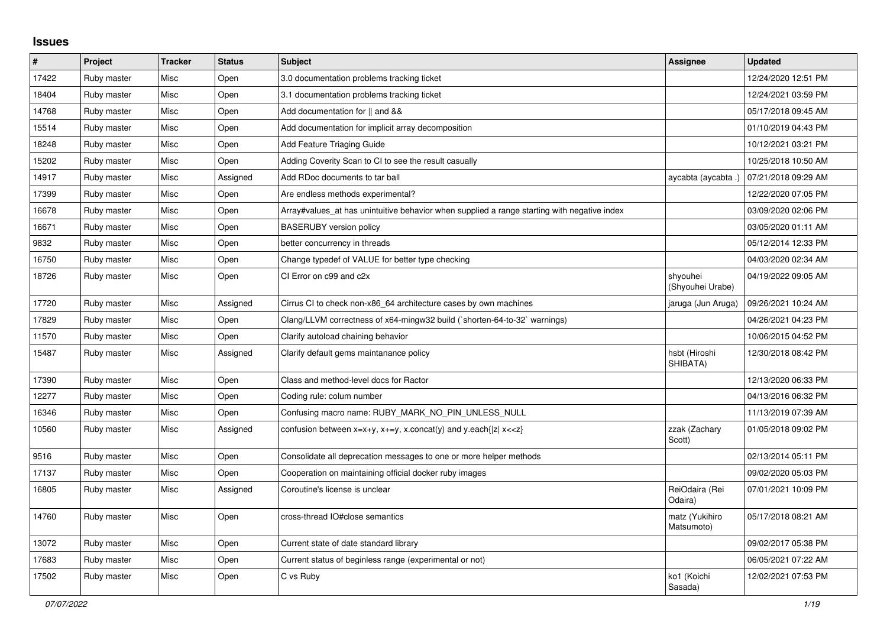## **Issues**

| $\#$  | Project     | <b>Tracker</b> | <b>Status</b> | <b>Subject</b>                                                                              | <b>Assignee</b>              | <b>Updated</b>      |
|-------|-------------|----------------|---------------|---------------------------------------------------------------------------------------------|------------------------------|---------------------|
| 17422 | Ruby master | Misc           | Open          | 3.0 documentation problems tracking ticket                                                  |                              | 12/24/2020 12:51 PM |
| 18404 | Ruby master | Misc           | Open          | 3.1 documentation problems tracking ticket                                                  |                              | 12/24/2021 03:59 PM |
| 14768 | Ruby master | Misc           | Open          | Add documentation for    and &&                                                             |                              | 05/17/2018 09:45 AM |
| 15514 | Ruby master | Misc           | Open          | Add documentation for implicit array decomposition                                          |                              | 01/10/2019 04:43 PM |
| 18248 | Ruby master | Misc           | Open          | Add Feature Triaging Guide                                                                  |                              | 10/12/2021 03:21 PM |
| 15202 | Ruby master | Misc           | Open          | Adding Coverity Scan to CI to see the result casually                                       |                              | 10/25/2018 10:50 AM |
| 14917 | Ruby master | Misc           | Assigned      | Add RDoc documents to tar ball                                                              | aycabta (aycabta .)          | 07/21/2018 09:29 AM |
| 17399 | Ruby master | Misc           | Open          | Are endless methods experimental?                                                           |                              | 12/22/2020 07:05 PM |
| 16678 | Ruby master | Misc           | Open          | Array#values_at has unintuitive behavior when supplied a range starting with negative index |                              | 03/09/2020 02:06 PM |
| 16671 | Ruby master | Misc           | Open          | <b>BASERUBY</b> version policy                                                              |                              | 03/05/2020 01:11 AM |
| 9832  | Ruby master | Misc           | Open          | better concurrency in threads                                                               |                              | 05/12/2014 12:33 PM |
| 16750 | Ruby master | Misc           | Open          | Change typedef of VALUE for better type checking                                            |                              | 04/03/2020 02:34 AM |
| 18726 | Ruby master | Misc           | Open          | CI Error on c99 and c2x                                                                     | shyouhei<br>(Shyouhei Urabe) | 04/19/2022 09:05 AM |
| 17720 | Ruby master | Misc           | Assigned      | Cirrus CI to check non-x86_64 architecture cases by own machines                            | jaruga (Jun Aruga)           | 09/26/2021 10:24 AM |
| 17829 | Ruby master | Misc           | Open          | Clang/LLVM correctness of x64-mingw32 build ('shorten-64-to-32' warnings)                   |                              | 04/26/2021 04:23 PM |
| 11570 | Ruby master | Misc           | Open          | Clarify autoload chaining behavior                                                          |                              | 10/06/2015 04:52 PM |
| 15487 | Ruby master | Misc           | Assigned      | Clarify default gems maintanance policy                                                     | hsbt (Hiroshi<br>SHIBATA)    | 12/30/2018 08:42 PM |
| 17390 | Ruby master | Misc           | Open          | Class and method-level docs for Ractor                                                      |                              | 12/13/2020 06:33 PM |
| 12277 | Ruby master | Misc           | Open          | Coding rule: colum number                                                                   |                              | 04/13/2016 06:32 PM |
| 16346 | Ruby master | Misc           | Open          | Confusing macro name: RUBY_MARK_NO_PIN_UNLESS_NULL                                          |                              | 11/13/2019 07:39 AM |
| 10560 | Ruby master | Misc           | Assigned      | confusion between $x=x+y$ , $x+=y$ , x.concat(y) and y.each{ z  $x<}$                       | zzak (Zachary<br>Scott)      | 01/05/2018 09:02 PM |
| 9516  | Ruby master | Misc           | Open          | Consolidate all deprecation messages to one or more helper methods                          |                              | 02/13/2014 05:11 PM |
| 17137 | Ruby master | Misc           | Open          | Cooperation on maintaining official docker ruby images                                      |                              | 09/02/2020 05:03 PM |
| 16805 | Ruby master | Misc           | Assigned      | Coroutine's license is unclear                                                              | ReiOdaira (Rei<br>Odaira)    | 07/01/2021 10:09 PM |
| 14760 | Ruby master | Misc           | Open          | cross-thread IO#close semantics                                                             | matz (Yukihiro<br>Matsumoto) | 05/17/2018 08:21 AM |
| 13072 | Ruby master | Misc           | Open          | Current state of date standard library                                                      |                              | 09/02/2017 05:38 PM |
| 17683 | Ruby master | Misc           | Open          | Current status of beginless range (experimental or not)                                     |                              | 06/05/2021 07:22 AM |
| 17502 | Ruby master | Misc           | Open          | C vs Ruby                                                                                   | ko1 (Koichi<br>Sasada)       | 12/02/2021 07:53 PM |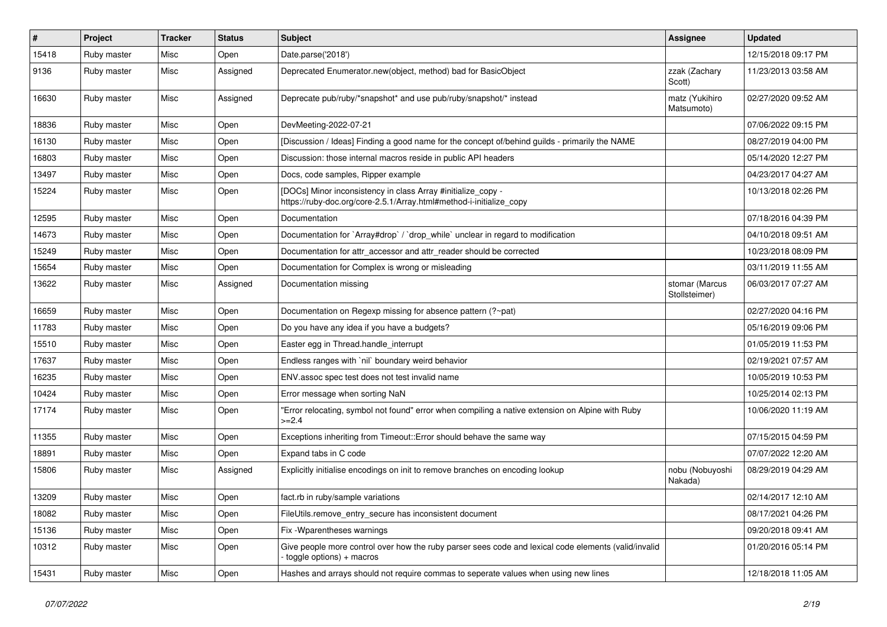| #     | Project     | <b>Tracker</b> | <b>Status</b> | <b>Subject</b>                                                                                                                      | Assignee                        | <b>Updated</b>      |
|-------|-------------|----------------|---------------|-------------------------------------------------------------------------------------------------------------------------------------|---------------------------------|---------------------|
| 15418 | Ruby master | Misc           | Open          | Date.parse('2018')                                                                                                                  |                                 | 12/15/2018 09:17 PM |
| 9136  | Ruby master | Misc           | Assigned      | Deprecated Enumerator.new(object, method) bad for BasicObject                                                                       | zzak (Zachary<br>Scott)         | 11/23/2013 03:58 AM |
| 16630 | Ruby master | Misc           | Assigned      | Deprecate pub/ruby/*snapshot* and use pub/ruby/snapshot/* instead                                                                   | matz (Yukihiro<br>Matsumoto)    | 02/27/2020 09:52 AM |
| 18836 | Ruby master | Misc           | Open          | DevMeeting-2022-07-21                                                                                                               |                                 | 07/06/2022 09:15 PM |
| 16130 | Ruby master | Misc           | Open          | [Discussion / Ideas] Finding a good name for the concept of/behind guilds - primarily the NAME                                      |                                 | 08/27/2019 04:00 PM |
| 16803 | Ruby master | Misc           | Open          | Discussion: those internal macros reside in public API headers                                                                      |                                 | 05/14/2020 12:27 PM |
| 13497 | Ruby master | Misc           | Open          | Docs, code samples, Ripper example                                                                                                  |                                 | 04/23/2017 04:27 AM |
| 15224 | Ruby master | Misc           | Open          | [DOCs] Minor inconsistency in class Array #initialize_copy -<br>https://ruby-doc.org/core-2.5.1/Array.html#method-i-initialize_copy |                                 | 10/13/2018 02:26 PM |
| 12595 | Ruby master | Misc           | Open          | Documentation                                                                                                                       |                                 | 07/18/2016 04:39 PM |
| 14673 | Ruby master | Misc           | Open          | Documentation for `Array#drop` / `drop_while` unclear in regard to modification                                                     |                                 | 04/10/2018 09:51 AM |
| 15249 | Ruby master | Misc           | Open          | Documentation for attr accessor and attr reader should be corrected                                                                 |                                 | 10/23/2018 08:09 PM |
| 15654 | Ruby master | Misc           | Open          | Documentation for Complex is wrong or misleading                                                                                    |                                 | 03/11/2019 11:55 AM |
| 13622 | Ruby master | Misc           | Assigned      | Documentation missing                                                                                                               | stomar (Marcus<br>Stollsteimer) | 06/03/2017 07:27 AM |
| 16659 | Ruby master | Misc           | Open          | Documentation on Regexp missing for absence pattern (?~pat)                                                                         |                                 | 02/27/2020 04:16 PM |
| 11783 | Ruby master | Misc           | Open          | Do you have any idea if you have a budgets?                                                                                         |                                 | 05/16/2019 09:06 PM |
| 15510 | Ruby master | Misc           | Open          | Easter egg in Thread.handle_interrupt                                                                                               |                                 | 01/05/2019 11:53 PM |
| 17637 | Ruby master | Misc           | Open          | Endless ranges with `nil` boundary weird behavior                                                                                   |                                 | 02/19/2021 07:57 AM |
| 16235 | Ruby master | Misc           | Open          | ENV assoc spec test does not test invalid name                                                                                      |                                 | 10/05/2019 10:53 PM |
| 10424 | Ruby master | Misc           | Open          | Error message when sorting NaN                                                                                                      |                                 | 10/25/2014 02:13 PM |
| 17174 | Ruby master | Misc           | Open          | 'Error relocating, symbol not found" error when compiling a native extension on Alpine with Ruby<br>$>=2.4$                         |                                 | 10/06/2020 11:19 AM |
| 11355 | Ruby master | Misc           | Open          | Exceptions inheriting from Timeout:: Error should behave the same way                                                               |                                 | 07/15/2015 04:59 PM |
| 18891 | Ruby master | Misc           | Open          | Expand tabs in C code                                                                                                               |                                 | 07/07/2022 12:20 AM |
| 15806 | Ruby master | Misc           | Assigned      | Explicitly initialise encodings on init to remove branches on encoding lookup                                                       | nobu (Nobuyoshi<br>Nakada)      | 08/29/2019 04:29 AM |
| 13209 | Ruby master | Misc           | Open          | fact.rb in ruby/sample variations                                                                                                   |                                 | 02/14/2017 12:10 AM |
| 18082 | Ruby master | Misc           | Open          | FileUtils.remove_entry_secure has inconsistent document                                                                             |                                 | 08/17/2021 04:26 PM |
| 15136 | Ruby master | Misc           | Open          | Fix - Wparentheses warnings                                                                                                         |                                 | 09/20/2018 09:41 AM |
| 10312 | Ruby master | Misc           | Open          | Give people more control over how the ruby parser sees code and lexical code elements (valid/invalid<br>toggle options) + macros    |                                 | 01/20/2016 05:14 PM |
| 15431 | Ruby master | Misc           | Open          | Hashes and arrays should not require commas to seperate values when using new lines                                                 |                                 | 12/18/2018 11:05 AM |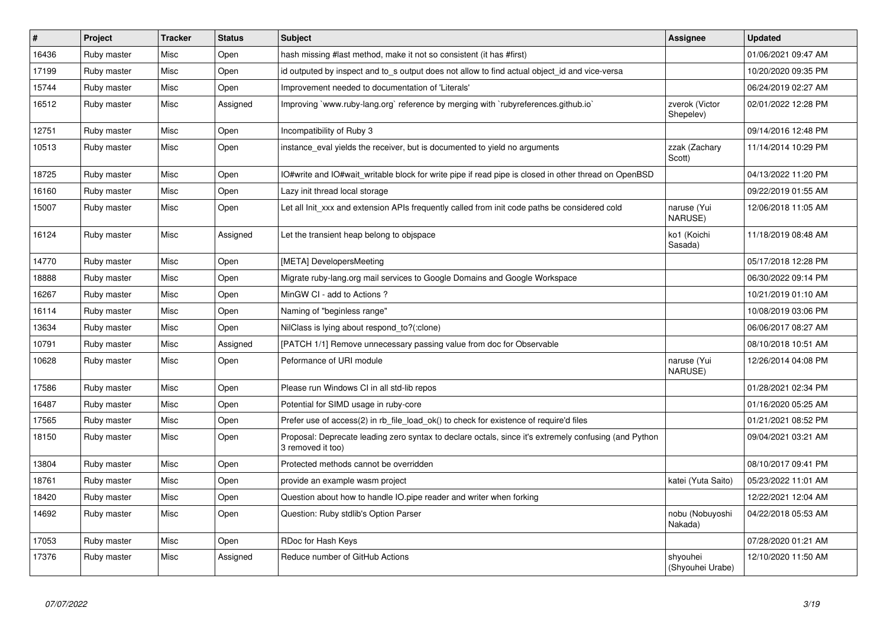| $\pmb{\sharp}$ | <b>Project</b> | <b>Tracker</b> | <b>Status</b> | <b>Subject</b>                                                                                                             | <b>Assignee</b>              | <b>Updated</b>      |
|----------------|----------------|----------------|---------------|----------------------------------------------------------------------------------------------------------------------------|------------------------------|---------------------|
| 16436          | Ruby master    | Misc           | Open          | hash missing #last method, make it not so consistent (it has #first)                                                       |                              | 01/06/2021 09:47 AM |
| 17199          | Ruby master    | Misc           | Open          | id outputed by inspect and to_s output does not allow to find actual object_id and vice-versa                              |                              | 10/20/2020 09:35 PM |
| 15744          | Ruby master    | Misc           | Open          | Improvement needed to documentation of 'Literals'                                                                          |                              | 06/24/2019 02:27 AM |
| 16512          | Ruby master    | Misc           | Assigned      | Improving `www.ruby-lang.org` reference by merging with `rubyreferences.github.io`                                         | zverok (Victor<br>Shepelev)  | 02/01/2022 12:28 PM |
| 12751          | Ruby master    | Misc           | Open          | Incompatibility of Ruby 3                                                                                                  |                              | 09/14/2016 12:48 PM |
| 10513          | Ruby master    | Misc           | Open          | instance eval yields the receiver, but is documented to yield no arguments                                                 | zzak (Zachary<br>Scott)      | 11/14/2014 10:29 PM |
| 18725          | Ruby master    | Misc           | Open          | IO#write and IO#wait writable block for write pipe if read pipe is closed in other thread on OpenBSD                       |                              | 04/13/2022 11:20 PM |
| 16160          | Ruby master    | Misc           | Open          | Lazy init thread local storage                                                                                             |                              | 09/22/2019 01:55 AM |
| 15007          | Ruby master    | Misc           | Open          | Let all Init_xxx and extension APIs frequently called from init code paths be considered cold                              | naruse (Yui<br>NARUSE)       | 12/06/2018 11:05 AM |
| 16124          | Ruby master    | Misc           | Assigned      | Let the transient heap belong to objspace                                                                                  | ko1 (Koichi<br>Sasada)       | 11/18/2019 08:48 AM |
| 14770          | Ruby master    | Misc           | Open          | [META] DevelopersMeeting                                                                                                   |                              | 05/17/2018 12:28 PM |
| 18888          | Ruby master    | Misc           | Open          | Migrate ruby-lang.org mail services to Google Domains and Google Workspace                                                 |                              | 06/30/2022 09:14 PM |
| 16267          | Ruby master    | Misc           | Open          | MinGW CI - add to Actions?                                                                                                 |                              | 10/21/2019 01:10 AM |
| 16114          | Ruby master    | Misc           | Open          | Naming of "beginless range"                                                                                                |                              | 10/08/2019 03:06 PM |
| 13634          | Ruby master    | Misc           | Open          | NilClass is lying about respond_to?(:clone)                                                                                |                              | 06/06/2017 08:27 AM |
| 10791          | Ruby master    | Misc           | Assigned      | [PATCH 1/1] Remove unnecessary passing value from doc for Observable                                                       |                              | 08/10/2018 10:51 AM |
| 10628          | Ruby master    | Misc           | Open          | Peformance of URI module                                                                                                   | naruse (Yui<br>NARUSE)       | 12/26/2014 04:08 PM |
| 17586          | Ruby master    | Misc           | Open          | Please run Windows CI in all std-lib repos                                                                                 |                              | 01/28/2021 02:34 PM |
| 16487          | Ruby master    | Misc           | Open          | Potential for SIMD usage in ruby-core                                                                                      |                              | 01/16/2020 05:25 AM |
| 17565          | Ruby master    | Misc           | Open          | Prefer use of access(2) in rb_file_load_ok() to check for existence of require'd files                                     |                              | 01/21/2021 08:52 PM |
| 18150          | Ruby master    | Misc           | Open          | Proposal: Deprecate leading zero syntax to declare octals, since it's extremely confusing (and Python<br>3 removed it too) |                              | 09/04/2021 03:21 AM |
| 13804          | Ruby master    | Misc           | Open          | Protected methods cannot be overridden                                                                                     |                              | 08/10/2017 09:41 PM |
| 18761          | Ruby master    | Misc           | Open          | provide an example wasm project                                                                                            | katei (Yuta Saito)           | 05/23/2022 11:01 AM |
| 18420          | Ruby master    | Misc           | Open          | Question about how to handle IO.pipe reader and writer when forking                                                        |                              | 12/22/2021 12:04 AM |
| 14692          | Ruby master    | Misc           | Open          | Question: Ruby stdlib's Option Parser                                                                                      | nobu (Nobuyoshi<br>Nakada)   | 04/22/2018 05:53 AM |
| 17053          | Ruby master    | Misc           | Open          | RDoc for Hash Keys                                                                                                         |                              | 07/28/2020 01:21 AM |
| 17376          | Ruby master    | Misc           | Assigned      | Reduce number of GitHub Actions                                                                                            | shyouhei<br>(Shyouhei Urabe) | 12/10/2020 11:50 AM |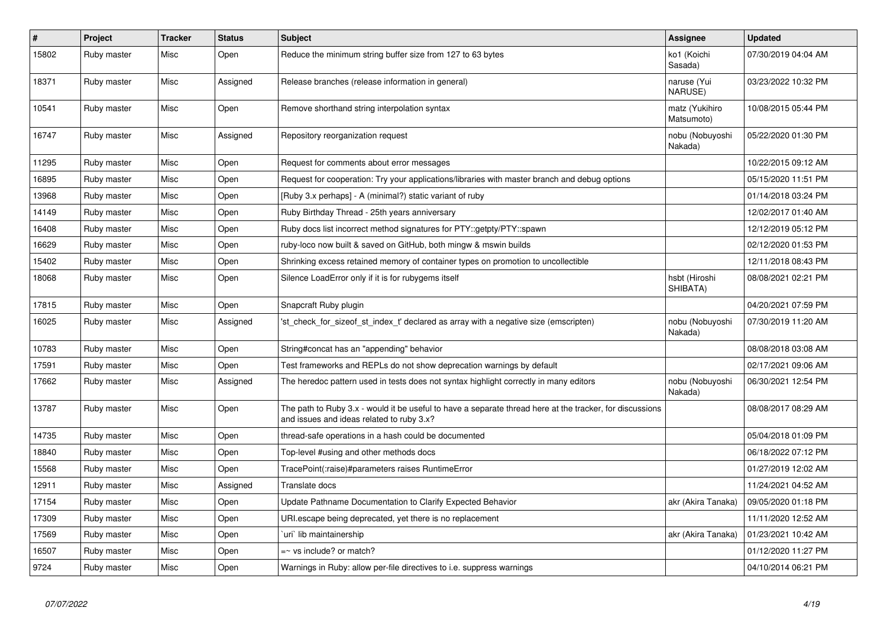| $\vert$ # | Project     | <b>Tracker</b> | <b>Status</b> | <b>Subject</b>                                                                                                                                        | Assignee                      | <b>Updated</b>      |
|-----------|-------------|----------------|---------------|-------------------------------------------------------------------------------------------------------------------------------------------------------|-------------------------------|---------------------|
| 15802     | Ruby master | Misc           | Open          | Reduce the minimum string buffer size from 127 to 63 bytes                                                                                            | ko1 (Koichi<br>Sasada)        | 07/30/2019 04:04 AM |
| 18371     | Ruby master | Misc           | Assigned      | Release branches (release information in general)                                                                                                     | naruse (Yui<br><b>NARUSE)</b> | 03/23/2022 10:32 PM |
| 10541     | Ruby master | Misc           | Open          | Remove shorthand string interpolation syntax                                                                                                          | matz (Yukihiro<br>Matsumoto)  | 10/08/2015 05:44 PM |
| 16747     | Ruby master | Misc           | Assigned      | Repository reorganization request                                                                                                                     | nobu (Nobuyoshi<br>Nakada)    | 05/22/2020 01:30 PM |
| 11295     | Ruby master | Misc           | Open          | Request for comments about error messages                                                                                                             |                               | 10/22/2015 09:12 AM |
| 16895     | Ruby master | Misc           | Open          | Request for cooperation: Try your applications/libraries with master branch and debug options                                                         |                               | 05/15/2020 11:51 PM |
| 13968     | Ruby master | Misc           | Open          | [Ruby 3.x perhaps] - A (minimal?) static variant of ruby                                                                                              |                               | 01/14/2018 03:24 PM |
| 14149     | Ruby master | Misc           | Open          | Ruby Birthday Thread - 25th years anniversary                                                                                                         |                               | 12/02/2017 01:40 AM |
| 16408     | Ruby master | Misc           | Open          | Ruby docs list incorrect method signatures for PTY::getpty/PTY::spawn                                                                                 |                               | 12/12/2019 05:12 PM |
| 16629     | Ruby master | Misc           | Open          | ruby-loco now built & saved on GitHub, both mingw & mswin builds                                                                                      |                               | 02/12/2020 01:53 PM |
| 15402     | Ruby master | Misc           | Open          | Shrinking excess retained memory of container types on promotion to uncollectible                                                                     |                               | 12/11/2018 08:43 PM |
| 18068     | Ruby master | Misc           | Open          | Silence LoadError only if it is for rubygems itself                                                                                                   | hsbt (Hiroshi<br>SHIBATA)     | 08/08/2021 02:21 PM |
| 17815     | Ruby master | Misc           | Open          | Snapcraft Ruby plugin                                                                                                                                 |                               | 04/20/2021 07:59 PM |
| 16025     | Ruby master | Misc           | Assigned      | 'st check for sizeof st index t' declared as array with a negative size (emscripten)                                                                  | nobu (Nobuyoshi<br>Nakada)    | 07/30/2019 11:20 AM |
| 10783     | Ruby master | Misc           | Open          | String#concat has an "appending" behavior                                                                                                             |                               | 08/08/2018 03:08 AM |
| 17591     | Ruby master | Misc           | Open          | Test frameworks and REPLs do not show deprecation warnings by default                                                                                 |                               | 02/17/2021 09:06 AM |
| 17662     | Ruby master | Misc           | Assigned      | The heredoc pattern used in tests does not syntax highlight correctly in many editors                                                                 | nobu (Nobuyoshi<br>Nakada)    | 06/30/2021 12:54 PM |
| 13787     | Ruby master | Misc           | Open          | The path to Ruby 3.x - would it be useful to have a separate thread here at the tracker, for discussions<br>and issues and ideas related to ruby 3.x? |                               | 08/08/2017 08:29 AM |
| 14735     | Ruby master | Misc           | Open          | thread-safe operations in a hash could be documented                                                                                                  |                               | 05/04/2018 01:09 PM |
| 18840     | Ruby master | Misc           | Open          | Top-level #using and other methods docs                                                                                                               |                               | 06/18/2022 07:12 PM |
| 15568     | Ruby master | Misc           | Open          | TracePoint(:raise)#parameters raises RuntimeError                                                                                                     |                               | 01/27/2019 12:02 AM |
| 12911     | Ruby master | Misc           | Assigned      | Translate docs                                                                                                                                        |                               | 11/24/2021 04:52 AM |
| 17154     | Ruby master | Misc           | Open          | Update Pathname Documentation to Clarify Expected Behavior                                                                                            | akr (Akira Tanaka)            | 09/05/2020 01:18 PM |
| 17309     | Ruby master | Misc           | Open          | URI escape being deprecated, yet there is no replacement                                                                                              |                               | 11/11/2020 12:52 AM |
| 17569     | Ruby master | Misc           | Open          | 'uri' lib maintainership                                                                                                                              | akr (Akira Tanaka)            | 01/23/2021 10:42 AM |
| 16507     | Ruby master | Misc           | Open          | =~ vs include? or match?                                                                                                                              |                               | 01/12/2020 11:27 PM |
| 9724      | Ruby master | Misc           | Open          | Warnings in Ruby: allow per-file directives to i.e. suppress warnings                                                                                 |                               | 04/10/2014 06:21 PM |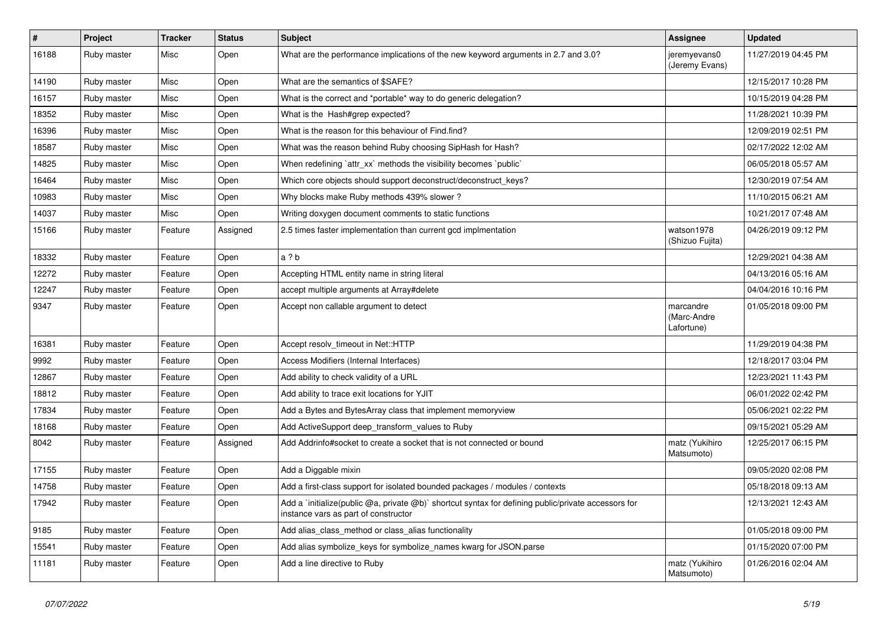| $\vert$ # | Project     | <b>Tracker</b> | <b>Status</b> | <b>Subject</b>                                                                                                                              | Assignee                               | <b>Updated</b>      |
|-----------|-------------|----------------|---------------|---------------------------------------------------------------------------------------------------------------------------------------------|----------------------------------------|---------------------|
| 16188     | Ruby master | Misc           | Open          | What are the performance implications of the new keyword arguments in 2.7 and 3.0?                                                          | jeremyevans0<br>(Jeremy Evans)         | 11/27/2019 04:45 PM |
| 14190     | Ruby master | Misc           | Open          | What are the semantics of \$SAFE?                                                                                                           |                                        | 12/15/2017 10:28 PM |
| 16157     | Ruby master | Misc           | Open          | What is the correct and *portable* way to do generic delegation?                                                                            |                                        | 10/15/2019 04:28 PM |
| 18352     | Ruby master | Misc           | Open          | What is the Hash#grep expected?                                                                                                             |                                        | 11/28/2021 10:39 PM |
| 16396     | Ruby master | Misc           | Open          | What is the reason for this behaviour of Find.find?                                                                                         |                                        | 12/09/2019 02:51 PM |
| 18587     | Ruby master | Misc           | Open          | What was the reason behind Ruby choosing SipHash for Hash?                                                                                  |                                        | 02/17/2022 12:02 AM |
| 14825     | Ruby master | Misc           | Open          | When redefining 'attr xx' methods the visibility becomes 'public'                                                                           |                                        | 06/05/2018 05:57 AM |
| 16464     | Ruby master | Misc           | Open          | Which core objects should support deconstruct/deconstruct_keys?                                                                             |                                        | 12/30/2019 07:54 AM |
| 10983     | Ruby master | Misc           | Open          | Why blocks make Ruby methods 439% slower?                                                                                                   |                                        | 11/10/2015 06:21 AM |
| 14037     | Ruby master | Misc           | Open          | Writing doxygen document comments to static functions                                                                                       |                                        | 10/21/2017 07:48 AM |
| 15166     | Ruby master | Feature        | Assigned      | 2.5 times faster implementation than current gcd implmentation                                                                              | watson1978<br>(Shizuo Fujita)          | 04/26/2019 09:12 PM |
| 18332     | Ruby master | Feature        | Open          | a ? b                                                                                                                                       |                                        | 12/29/2021 04:38 AM |
| 12272     | Ruby master | Feature        | Open          | Accepting HTML entity name in string literal                                                                                                |                                        | 04/13/2016 05:16 AM |
| 12247     | Ruby master | Feature        | Open          | accept multiple arguments at Array#delete                                                                                                   |                                        | 04/04/2016 10:16 PM |
| 9347      | Ruby master | Feature        | Open          | Accept non callable argument to detect                                                                                                      | marcandre<br>(Marc-Andre<br>Lafortune) | 01/05/2018 09:00 PM |
| 16381     | Ruby master | Feature        | Open          | Accept resolv_timeout in Net::HTTP                                                                                                          |                                        | 11/29/2019 04:38 PM |
| 9992      | Ruby master | Feature        | Open          | Access Modifiers (Internal Interfaces)                                                                                                      |                                        | 12/18/2017 03:04 PM |
| 12867     | Ruby master | Feature        | Open          | Add ability to check validity of a URL                                                                                                      |                                        | 12/23/2021 11:43 PM |
| 18812     | Ruby master | Feature        | Open          | Add ability to trace exit locations for YJIT                                                                                                |                                        | 06/01/2022 02:42 PM |
| 17834     | Ruby master | Feature        | Open          | Add a Bytes and BytesArray class that implement memoryview                                                                                  |                                        | 05/06/2021 02:22 PM |
| 18168     | Ruby master | Feature        | Open          | Add ActiveSupport deep_transform_values to Ruby                                                                                             |                                        | 09/15/2021 05:29 AM |
| 8042      | Ruby master | Feature        | Assigned      | Add Addrinfo#socket to create a socket that is not connected or bound                                                                       | matz (Yukihiro<br>Matsumoto)           | 12/25/2017 06:15 PM |
| 17155     | Ruby master | Feature        | Open          | Add a Diggable mixin                                                                                                                        |                                        | 09/05/2020 02:08 PM |
| 14758     | Ruby master | Feature        | Open          | Add a first-class support for isolated bounded packages / modules / contexts                                                                |                                        | 05/18/2018 09:13 AM |
| 17942     | Ruby master | Feature        | Open          | Add a `initialize(public @a, private @b)` shortcut syntax for defining public/private accessors for<br>instance vars as part of constructor |                                        | 12/13/2021 12:43 AM |
| 9185      | Ruby master | Feature        | Open          | Add alias_class_method or class_alias functionality                                                                                         |                                        | 01/05/2018 09:00 PM |
| 15541     | Ruby master | Feature        | Open          | Add alias symbolize_keys for symbolize_names kwarg for JSON.parse                                                                           |                                        | 01/15/2020 07:00 PM |
| 11181     | Ruby master | Feature        | Open          | Add a line directive to Ruby                                                                                                                | matz (Yukihiro<br>Matsumoto)           | 01/26/2016 02:04 AM |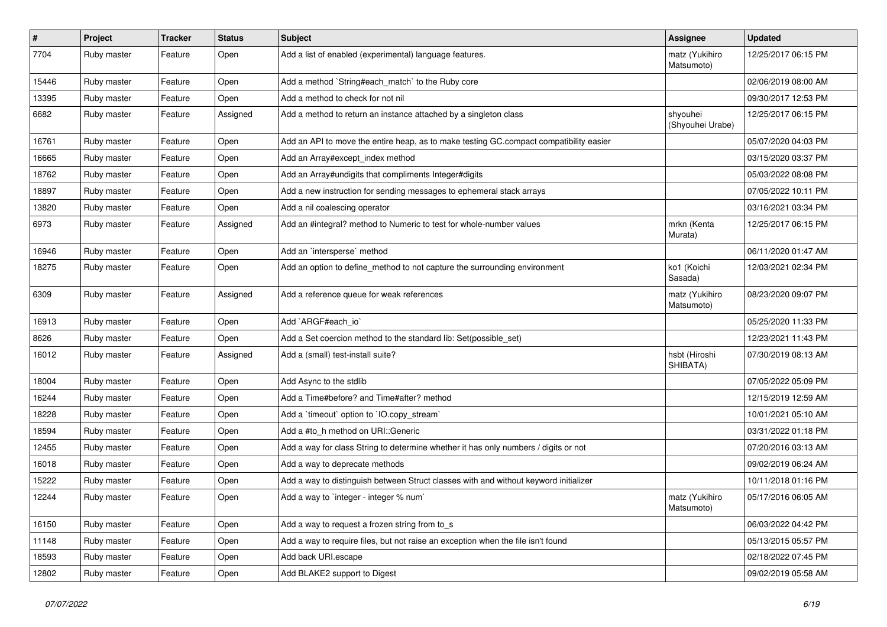| #     | Project     | <b>Tracker</b> | <b>Status</b> | <b>Subject</b>                                                                         | <b>Assignee</b>              | <b>Updated</b>      |
|-------|-------------|----------------|---------------|----------------------------------------------------------------------------------------|------------------------------|---------------------|
| 7704  | Ruby master | Feature        | Open          | Add a list of enabled (experimental) language features.                                | matz (Yukihiro<br>Matsumoto) | 12/25/2017 06:15 PM |
| 15446 | Ruby master | Feature        | Open          | Add a method `String#each_match` to the Ruby core                                      |                              | 02/06/2019 08:00 AM |
| 13395 | Ruby master | Feature        | Open          | Add a method to check for not nil                                                      |                              | 09/30/2017 12:53 PM |
| 6682  | Ruby master | Feature        | Assigned      | Add a method to return an instance attached by a singleton class                       | shyouhei<br>(Shyouhei Urabe) | 12/25/2017 06:15 PM |
| 16761 | Ruby master | Feature        | Open          | Add an API to move the entire heap, as to make testing GC.compact compatibility easier |                              | 05/07/2020 04:03 PM |
| 16665 | Ruby master | Feature        | Open          | Add an Array#except_index method                                                       |                              | 03/15/2020 03:37 PM |
| 18762 | Ruby master | Feature        | Open          | Add an Array#undigits that compliments Integer#digits                                  |                              | 05/03/2022 08:08 PM |
| 18897 | Ruby master | Feature        | Open          | Add a new instruction for sending messages to ephemeral stack arrays                   |                              | 07/05/2022 10:11 PM |
| 13820 | Ruby master | Feature        | Open          | Add a nil coalescing operator                                                          |                              | 03/16/2021 03:34 PM |
| 6973  | Ruby master | Feature        | Assigned      | Add an #integral? method to Numeric to test for whole-number values                    | mrkn (Kenta<br>Murata)       | 12/25/2017 06:15 PM |
| 16946 | Ruby master | Feature        | Open          | Add an `intersperse` method                                                            |                              | 06/11/2020 01:47 AM |
| 18275 | Ruby master | Feature        | Open          | Add an option to define_method to not capture the surrounding environment              | ko1 (Koichi<br>Sasada)       | 12/03/2021 02:34 PM |
| 6309  | Ruby master | Feature        | Assigned      | Add a reference queue for weak references                                              | matz (Yukihiro<br>Matsumoto) | 08/23/2020 09:07 PM |
| 16913 | Ruby master | Feature        | Open          | Add `ARGF#each_io`                                                                     |                              | 05/25/2020 11:33 PM |
| 8626  | Ruby master | Feature        | Open          | Add a Set coercion method to the standard lib: Set(possible set)                       |                              | 12/23/2021 11:43 PM |
| 16012 | Ruby master | Feature        | Assigned      | Add a (small) test-install suite?                                                      | hsbt (Hiroshi<br>SHIBATA)    | 07/30/2019 08:13 AM |
| 18004 | Ruby master | Feature        | Open          | Add Async to the stdlib                                                                |                              | 07/05/2022 05:09 PM |
| 16244 | Ruby master | Feature        | Open          | Add a Time#before? and Time#after? method                                              |                              | 12/15/2019 12:59 AM |
| 18228 | Ruby master | Feature        | Open          | Add a 'timeout' option to 'IO.copy_stream'                                             |                              | 10/01/2021 05:10 AM |
| 18594 | Ruby master | Feature        | Open          | Add a #to_h method on URI::Generic                                                     |                              | 03/31/2022 01:18 PM |
| 12455 | Ruby master | Feature        | Open          | Add a way for class String to determine whether it has only numbers / digits or not    |                              | 07/20/2016 03:13 AM |
| 16018 | Ruby master | Feature        | Open          | Add a way to deprecate methods                                                         |                              | 09/02/2019 06:24 AM |
| 15222 | Ruby master | Feature        | Open          | Add a way to distinguish between Struct classes with and without keyword initializer   |                              | 10/11/2018 01:16 PM |
| 12244 | Ruby master | Feature        | Open          | Add a way to `integer - integer % num`                                                 | matz (Yukihiro<br>Matsumoto) | 05/17/2016 06:05 AM |
| 16150 | Ruby master | Feature        | Open          | Add a way to request a frozen string from to_s                                         |                              | 06/03/2022 04:42 PM |
| 11148 | Ruby master | Feature        | Open          | Add a way to require files, but not raise an exception when the file isn't found       |                              | 05/13/2015 05:57 PM |
| 18593 | Ruby master | Feature        | Open          | Add back URI.escape                                                                    |                              | 02/18/2022 07:45 PM |
| 12802 | Ruby master | Feature        | Open          | Add BLAKE2 support to Digest                                                           |                              | 09/02/2019 05:58 AM |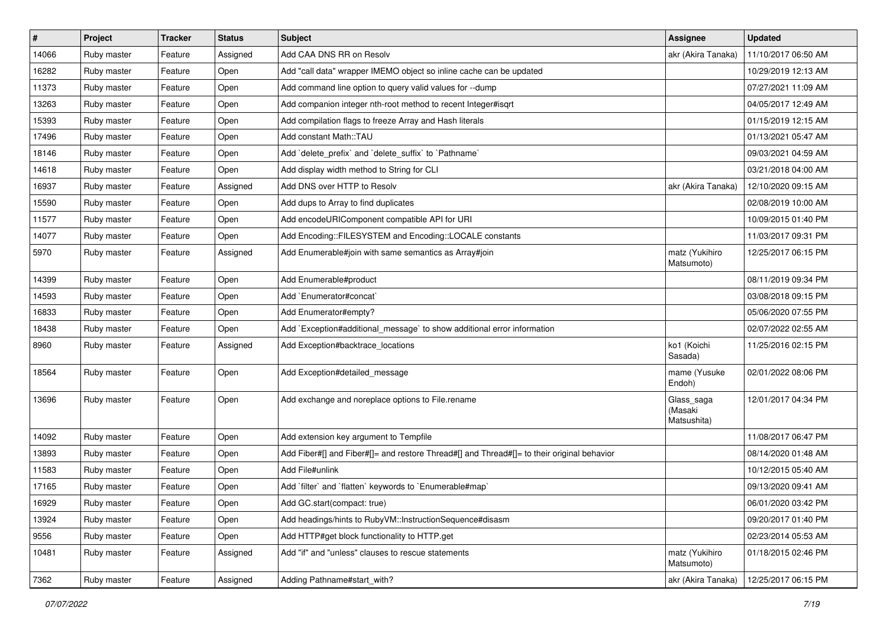| #     | Project     | <b>Tracker</b> | <b>Status</b> | <b>Subject</b>                                                                             | <b>Assignee</b>                      | <b>Updated</b>      |
|-------|-------------|----------------|---------------|--------------------------------------------------------------------------------------------|--------------------------------------|---------------------|
| 14066 | Ruby master | Feature        | Assigned      | Add CAA DNS RR on Resolv                                                                   | akr (Akira Tanaka)                   | 11/10/2017 06:50 AM |
| 16282 | Ruby master | Feature        | Open          | Add "call data" wrapper IMEMO object so inline cache can be updated                        |                                      | 10/29/2019 12:13 AM |
| 11373 | Ruby master | Feature        | Open          | Add command line option to query valid values for --dump                                   |                                      | 07/27/2021 11:09 AM |
| 13263 | Ruby master | Feature        | Open          | Add companion integer nth-root method to recent Integer#isqrt                              |                                      | 04/05/2017 12:49 AM |
| 15393 | Ruby master | Feature        | Open          | Add compilation flags to freeze Array and Hash literals                                    |                                      | 01/15/2019 12:15 AM |
| 17496 | Ruby master | Feature        | Open          | Add constant Math::TAU                                                                     |                                      | 01/13/2021 05:47 AM |
| 18146 | Ruby master | Feature        | Open          | Add 'delete_prefix' and 'delete_suffix' to 'Pathname'                                      |                                      | 09/03/2021 04:59 AM |
| 14618 | Ruby master | Feature        | Open          | Add display width method to String for CLI                                                 |                                      | 03/21/2018 04:00 AM |
| 16937 | Ruby master | Feature        | Assigned      | Add DNS over HTTP to Resolv                                                                | akr (Akira Tanaka)                   | 12/10/2020 09:15 AM |
| 15590 | Ruby master | Feature        | Open          | Add dups to Array to find duplicates                                                       |                                      | 02/08/2019 10:00 AM |
| 11577 | Ruby master | Feature        | Open          | Add encodeURIComponent compatible API for URI                                              |                                      | 10/09/2015 01:40 PM |
| 14077 | Ruby master | Feature        | Open          | Add Encoding::FILESYSTEM and Encoding::LOCALE constants                                    |                                      | 11/03/2017 09:31 PM |
| 5970  | Ruby master | Feature        | Assigned      | Add Enumerable#join with same semantics as Array#join                                      | matz (Yukihiro<br>Matsumoto)         | 12/25/2017 06:15 PM |
| 14399 | Ruby master | Feature        | Open          | Add Enumerable#product                                                                     |                                      | 08/11/2019 09:34 PM |
| 14593 | Ruby master | Feature        | Open          | Add `Enumerator#concat`                                                                    |                                      | 03/08/2018 09:15 PM |
| 16833 | Ruby master | Feature        | Open          | Add Enumerator#empty?                                                                      |                                      | 05/06/2020 07:55 PM |
| 18438 | Ruby master | Feature        | Open          | Add `Exception#additional_message` to show additional error information                    |                                      | 02/07/2022 02:55 AM |
| 8960  | Ruby master | Feature        | Assigned      | Add Exception#backtrace locations                                                          | ko1 (Koichi<br>Sasada)               | 11/25/2016 02:15 PM |
| 18564 | Ruby master | Feature        | Open          | Add Exception#detailed_message                                                             | mame (Yusuke<br>Endoh)               | 02/01/2022 08:06 PM |
| 13696 | Ruby master | Feature        | Open          | Add exchange and noreplace options to File.rename                                          | Glass_saga<br>(Masaki<br>Matsushita) | 12/01/2017 04:34 PM |
| 14092 | Ruby master | Feature        | Open          | Add extension key argument to Tempfile                                                     |                                      | 11/08/2017 06:47 PM |
| 13893 | Ruby master | Feature        | Open          | Add Fiber#[] and Fiber#[]= and restore Thread#[] and Thread#[]= to their original behavior |                                      | 08/14/2020 01:48 AM |
| 11583 | Ruby master | Feature        | Open          | Add File#unlink                                                                            |                                      | 10/12/2015 05:40 AM |
| 17165 | Ruby master | Feature        | Open          | Add `filter` and `flatten` keywords to `Enumerable#map`                                    |                                      | 09/13/2020 09:41 AM |
| 16929 | Ruby master | Feature        | Open          | Add GC.start(compact: true)                                                                |                                      | 06/01/2020 03:42 PM |
| 13924 | Ruby master | Feature        | Open          | Add headings/hints to RubyVM::InstructionSequence#disasm                                   |                                      | 09/20/2017 01:40 PM |
| 9556  | Ruby master | Feature        | Open          | Add HTTP#get block functionality to HTTP.get                                               |                                      | 02/23/2014 05:53 AM |
| 10481 | Ruby master | Feature        | Assigned      | Add "if" and "unless" clauses to rescue statements                                         | matz (Yukihiro<br>Matsumoto)         | 01/18/2015 02:46 PM |
| 7362  | Ruby master | Feature        | Assigned      | Adding Pathname#start with?                                                                | akr (Akira Tanaka)                   | 12/25/2017 06:15 PM |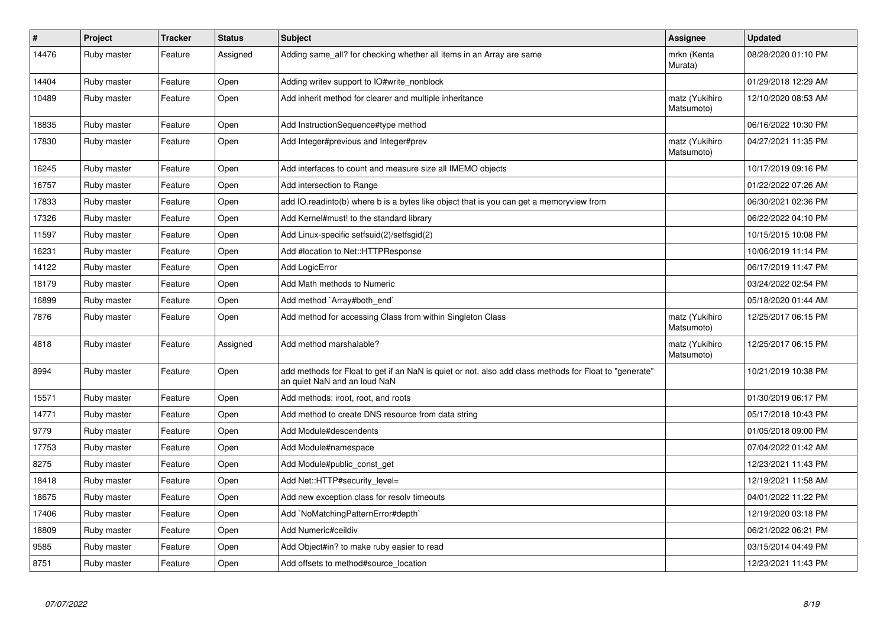| $\pmb{\#}$ | Project     | <b>Tracker</b> | <b>Status</b> | <b>Subject</b>                                                                                                                         | Assignee                     | <b>Updated</b>      |
|------------|-------------|----------------|---------------|----------------------------------------------------------------------------------------------------------------------------------------|------------------------------|---------------------|
| 14476      | Ruby master | Feature        | Assigned      | Adding same_all? for checking whether all items in an Array are same                                                                   | mrkn (Kenta<br>Murata)       | 08/28/2020 01:10 PM |
| 14404      | Ruby master | Feature        | Open          | Adding writev support to IO#write_nonblock                                                                                             |                              | 01/29/2018 12:29 AM |
| 10489      | Ruby master | Feature        | Open          | Add inherit method for clearer and multiple inheritance                                                                                | matz (Yukihiro<br>Matsumoto) | 12/10/2020 08:53 AM |
| 18835      | Ruby master | Feature        | Open          | Add InstructionSequence#type method                                                                                                    |                              | 06/16/2022 10:30 PM |
| 17830      | Ruby master | Feature        | Open          | Add Integer#previous and Integer#prev                                                                                                  | matz (Yukihiro<br>Matsumoto) | 04/27/2021 11:35 PM |
| 16245      | Ruby master | Feature        | Open          | Add interfaces to count and measure size all IMEMO objects                                                                             |                              | 10/17/2019 09:16 PM |
| 16757      | Ruby master | Feature        | Open          | Add intersection to Range                                                                                                              |                              | 01/22/2022 07:26 AM |
| 17833      | Ruby master | Feature        | Open          | add IO.readinto(b) where b is a bytes like object that is you can get a memoryview from                                                |                              | 06/30/2021 02:36 PM |
| 17326      | Ruby master | Feature        | Open          | Add Kernel#must! to the standard library                                                                                               |                              | 06/22/2022 04:10 PM |
| 11597      | Ruby master | Feature        | Open          | Add Linux-specific setfsuid(2)/setfsgid(2)                                                                                             |                              | 10/15/2015 10:08 PM |
| 16231      | Ruby master | Feature        | Open          | Add #location to Net::HTTPResponse                                                                                                     |                              | 10/06/2019 11:14 PM |
| 14122      | Ruby master | Feature        | Open          | Add LogicError                                                                                                                         |                              | 06/17/2019 11:47 PM |
| 18179      | Ruby master | Feature        | Open          | Add Math methods to Numeric                                                                                                            |                              | 03/24/2022 02:54 PM |
| 16899      | Ruby master | Feature        | Open          | Add method `Array#both end`                                                                                                            |                              | 05/18/2020 01:44 AM |
| 7876       | Ruby master | Feature        | Open          | Add method for accessing Class from within Singleton Class                                                                             | matz (Yukihiro<br>Matsumoto) | 12/25/2017 06:15 PM |
| 4818       | Ruby master | Feature        | Assigned      | Add method marshalable?                                                                                                                | matz (Yukihiro<br>Matsumoto) | 12/25/2017 06:15 PM |
| 8994       | Ruby master | Feature        | Open          | add methods for Float to get if an NaN is quiet or not, also add class methods for Float to "generate"<br>an quiet NaN and an loud NaN |                              | 10/21/2019 10:38 PM |
| 15571      | Ruby master | Feature        | Open          | Add methods: iroot, root, and roots                                                                                                    |                              | 01/30/2019 06:17 PM |
| 14771      | Ruby master | Feature        | Open          | Add method to create DNS resource from data string                                                                                     |                              | 05/17/2018 10:43 PM |
| 9779       | Ruby master | Feature        | Open          | Add Module#descendents                                                                                                                 |                              | 01/05/2018 09:00 PM |
| 17753      | Ruby master | Feature        | Open          | Add Module#namespace                                                                                                                   |                              | 07/04/2022 01:42 AM |
| 8275       | Ruby master | Feature        | Open          | Add Module#public const get                                                                                                            |                              | 12/23/2021 11:43 PM |
| 18418      | Ruby master | Feature        | Open          | Add Net::HTTP#security_level=                                                                                                          |                              | 12/19/2021 11:58 AM |
| 18675      | Ruby master | Feature        | Open          | Add new exception class for resolv timeouts                                                                                            |                              | 04/01/2022 11:22 PM |
| 17406      | Ruby master | Feature        | Open          | Add `NoMatchingPatternError#depth`                                                                                                     |                              | 12/19/2020 03:18 PM |
| 18809      | Ruby master | Feature        | Open          | Add Numeric#ceildiv                                                                                                                    |                              | 06/21/2022 06:21 PM |
| 9585       | Ruby master | Feature        | Open          | Add Object#in? to make ruby easier to read                                                                                             |                              | 03/15/2014 04:49 PM |
| 8751       | Ruby master | Feature        | Open          | Add offsets to method#source_location                                                                                                  |                              | 12/23/2021 11:43 PM |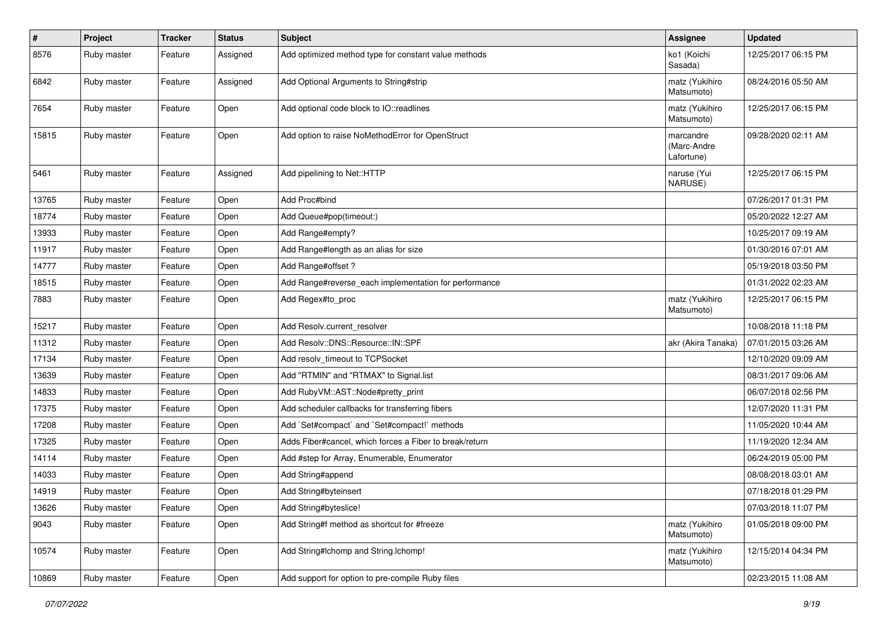| $\vert$ # | Project     | <b>Tracker</b> | <b>Status</b> | <b>Subject</b>                                          | Assignee                               | <b>Updated</b>      |
|-----------|-------------|----------------|---------------|---------------------------------------------------------|----------------------------------------|---------------------|
| 8576      | Ruby master | Feature        | Assigned      | Add optimized method type for constant value methods    | ko1 (Koichi<br>Sasada)                 | 12/25/2017 06:15 PM |
| 6842      | Ruby master | Feature        | Assigned      | Add Optional Arguments to String#strip                  | matz (Yukihiro<br>Matsumoto)           | 08/24/2016 05:50 AM |
| 7654      | Ruby master | Feature        | Open          | Add optional code block to IO::readlines                | matz (Yukihiro<br>Matsumoto)           | 12/25/2017 06:15 PM |
| 15815     | Ruby master | Feature        | Open          | Add option to raise NoMethodError for OpenStruct        | marcandre<br>(Marc-Andre<br>Lafortune) | 09/28/2020 02:11 AM |
| 5461      | Ruby master | Feature        | Assigned      | Add pipelining to Net::HTTP                             | naruse (Yui<br>NARUSE)                 | 12/25/2017 06:15 PM |
| 13765     | Ruby master | Feature        | Open          | Add Proc#bind                                           |                                        | 07/26/2017 01:31 PM |
| 18774     | Ruby master | Feature        | Open          | Add Queue#pop(timeout:)                                 |                                        | 05/20/2022 12:27 AM |
| 13933     | Ruby master | Feature        | Open          | Add Range#empty?                                        |                                        | 10/25/2017 09:19 AM |
| 11917     | Ruby master | Feature        | Open          | Add Range#length as an alias for size                   |                                        | 01/30/2016 07:01 AM |
| 14777     | Ruby master | Feature        | Open          | Add Range#offset?                                       |                                        | 05/19/2018 03:50 PM |
| 18515     | Ruby master | Feature        | Open          | Add Range#reverse_each implementation for performance   |                                        | 01/31/2022 02:23 AM |
| 7883      | Ruby master | Feature        | Open          | Add Regex#to_proc                                       | matz (Yukihiro<br>Matsumoto)           | 12/25/2017 06:15 PM |
| 15217     | Ruby master | Feature        | Open          | Add Resolv.current_resolver                             |                                        | 10/08/2018 11:18 PM |
| 11312     | Ruby master | Feature        | Open          | Add Resolv::DNS::Resource::IN::SPF                      | akr (Akira Tanaka)                     | 07/01/2015 03:26 AM |
| 17134     | Ruby master | Feature        | Open          | Add resolv timeout to TCPSocket                         |                                        | 12/10/2020 09:09 AM |
| 13639     | Ruby master | Feature        | Open          | Add "RTMIN" and "RTMAX" to Signal.list                  |                                        | 08/31/2017 09:06 AM |
| 14833     | Ruby master | Feature        | Open          | Add RubyVM::AST::Node#pretty_print                      |                                        | 06/07/2018 02:56 PM |
| 17375     | Ruby master | Feature        | Open          | Add scheduler callbacks for transferring fibers         |                                        | 12/07/2020 11:31 PM |
| 17208     | Ruby master | Feature        | Open          | Add `Set#compact` and `Set#compact!` methods            |                                        | 11/05/2020 10:44 AM |
| 17325     | Ruby master | Feature        | Open          | Adds Fiber#cancel, which forces a Fiber to break/return |                                        | 11/19/2020 12:34 AM |
| 14114     | Ruby master | Feature        | Open          | Add #step for Array, Enumerable, Enumerator             |                                        | 06/24/2019 05:00 PM |
| 14033     | Ruby master | Feature        | Open          | Add String#append                                       |                                        | 08/08/2018 03:01 AM |
| 14919     | Ruby master | Feature        | Open          | Add String#byteinsert                                   |                                        | 07/18/2018 01:29 PM |
| 13626     | Ruby master | Feature        | Open          | Add String#byteslice!                                   |                                        | 07/03/2018 11:07 PM |
| 9043      | Ruby master | Feature        | Open          | Add String#f method as shortcut for #freeze             | matz (Yukihiro<br>Matsumoto)           | 01/05/2018 09:00 PM |
| 10574     | Ruby master | Feature        | Open          | Add String#Ichomp and String.Ichomp!                    | matz (Yukihiro<br>Matsumoto)           | 12/15/2014 04:34 PM |
| 10869     | Ruby master | Feature        | Open          | Add support for option to pre-compile Ruby files        |                                        | 02/23/2015 11:08 AM |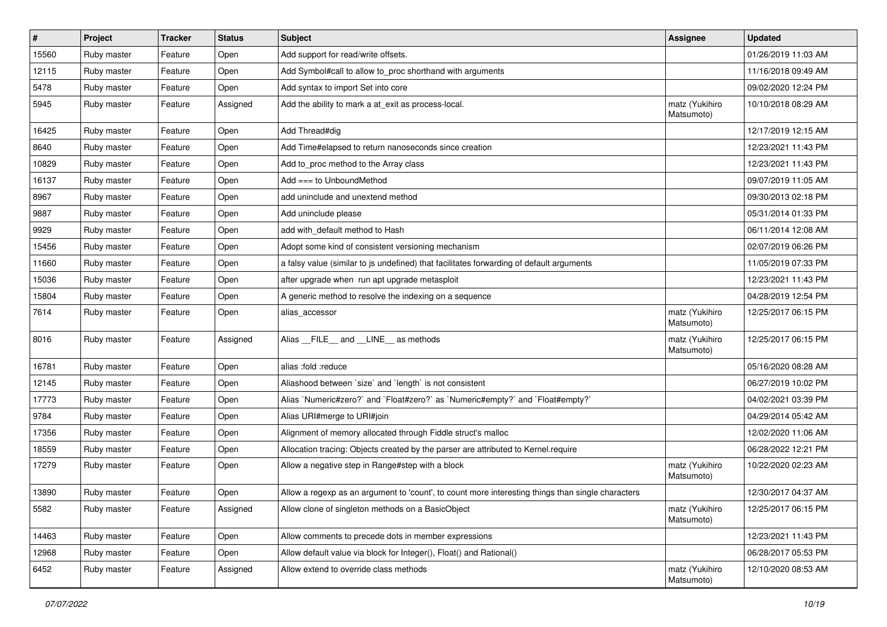| #     | Project     | Tracker | <b>Status</b> | <b>Subject</b>                                                                                    | Assignee                     | <b>Updated</b>      |
|-------|-------------|---------|---------------|---------------------------------------------------------------------------------------------------|------------------------------|---------------------|
| 15560 | Ruby master | Feature | Open          | Add support for read/write offsets.                                                               |                              | 01/26/2019 11:03 AM |
| 12115 | Ruby master | Feature | Open          | Add Symbol#call to allow to_proc shorthand with arguments                                         |                              | 11/16/2018 09:49 AM |
| 5478  | Ruby master | Feature | Open          | Add syntax to import Set into core                                                                |                              | 09/02/2020 12:24 PM |
| 5945  | Ruby master | Feature | Assigned      | Add the ability to mark a at_exit as process-local.                                               | matz (Yukihiro<br>Matsumoto) | 10/10/2018 08:29 AM |
| 16425 | Ruby master | Feature | Open          | Add Thread#dig                                                                                    |                              | 12/17/2019 12:15 AM |
| 8640  | Ruby master | Feature | Open          | Add Time#elapsed to return nanoseconds since creation                                             |                              | 12/23/2021 11:43 PM |
| 10829 | Ruby master | Feature | Open          | Add to_proc method to the Array class                                                             |                              | 12/23/2021 11:43 PM |
| 16137 | Ruby master | Feature | Open          | Add $==$ to UnboundMethod                                                                         |                              | 09/07/2019 11:05 AM |
| 8967  | Ruby master | Feature | Open          | add uninclude and unextend method                                                                 |                              | 09/30/2013 02:18 PM |
| 9887  | Ruby master | Feature | Open          | Add uninclude please                                                                              |                              | 05/31/2014 01:33 PM |
| 9929  | Ruby master | Feature | Open          | add with_default method to Hash                                                                   |                              | 06/11/2014 12:08 AM |
| 15456 | Ruby master | Feature | Open          | Adopt some kind of consistent versioning mechanism                                                |                              | 02/07/2019 06:26 PM |
| 11660 | Ruby master | Feature | Open          | a falsy value (similar to js undefined) that facilitates forwarding of default arguments          |                              | 11/05/2019 07:33 PM |
| 15036 | Ruby master | Feature | Open          | after upgrade when run apt upgrade metasploit                                                     |                              | 12/23/2021 11:43 PM |
| 15804 | Ruby master | Feature | Open          | A generic method to resolve the indexing on a sequence                                            |                              | 04/28/2019 12:54 PM |
| 7614  | Ruby master | Feature | Open          | alias_accessor                                                                                    | matz (Yukihiro<br>Matsumoto) | 12/25/2017 06:15 PM |
| 8016  | Ruby master | Feature | Assigned      | Alias __FILE__ and __LINE__ as methods                                                            | matz (Yukihiro<br>Matsumoto) | 12/25/2017 06:15 PM |
| 16781 | Ruby master | Feature | Open          | alias :fold :reduce                                                                               |                              | 05/16/2020 08:28 AM |
| 12145 | Ruby master | Feature | Open          | Aliashood between 'size' and 'length' is not consistent                                           |                              | 06/27/2019 10:02 PM |
| 17773 | Ruby master | Feature | Open          | Alias `Numeric#zero?` and `Float#zero?` as `Numeric#empty?` and `Float#empty?`                    |                              | 04/02/2021 03:39 PM |
| 9784  | Ruby master | Feature | Open          | Alias URI#merge to URI#join                                                                       |                              | 04/29/2014 05:42 AM |
| 17356 | Ruby master | Feature | Open          | Alignment of memory allocated through Fiddle struct's malloc                                      |                              | 12/02/2020 11:06 AM |
| 18559 | Ruby master | Feature | Open          | Allocation tracing: Objects created by the parser are attributed to Kernel.require                |                              | 06/28/2022 12:21 PM |
| 17279 | Ruby master | Feature | Open          | Allow a negative step in Range#step with a block                                                  | matz (Yukihiro<br>Matsumoto) | 10/22/2020 02:23 AM |
| 13890 | Ruby master | Feature | Open          | Allow a regexp as an argument to 'count', to count more interesting things than single characters |                              | 12/30/2017 04:37 AM |
| 5582  | Ruby master | Feature | Assigned      | Allow clone of singleton methods on a BasicObject                                                 | matz (Yukihiro<br>Matsumoto) | 12/25/2017 06:15 PM |
| 14463 | Ruby master | Feature | Open          | Allow comments to precede dots in member expressions                                              |                              | 12/23/2021 11:43 PM |
| 12968 | Ruby master | Feature | Open          | Allow default value via block for Integer(), Float() and Rational()                               |                              | 06/28/2017 05:53 PM |
| 6452  | Ruby master | Feature | Assigned      | Allow extend to override class methods                                                            | matz (Yukihiro<br>Matsumoto) | 12/10/2020 08:53 AM |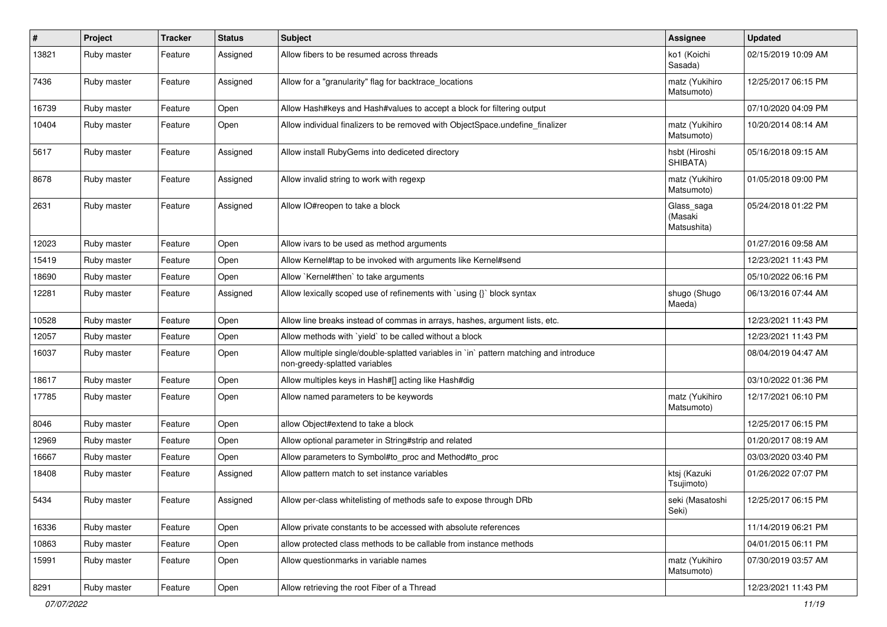| #     | Project     | <b>Tracker</b> | <b>Status</b> | <b>Subject</b>                                                                                                          | Assignee                             | <b>Updated</b>      |
|-------|-------------|----------------|---------------|-------------------------------------------------------------------------------------------------------------------------|--------------------------------------|---------------------|
| 13821 | Ruby master | Feature        | Assigned      | Allow fibers to be resumed across threads                                                                               | ko1 (Koichi<br>Sasada)               | 02/15/2019 10:09 AM |
| 7436  | Ruby master | Feature        | Assigned      | Allow for a "granularity" flag for backtrace locations                                                                  | matz (Yukihiro<br>Matsumoto)         | 12/25/2017 06:15 PM |
| 16739 | Ruby master | Feature        | Open          | Allow Hash#keys and Hash#values to accept a block for filtering output                                                  |                                      | 07/10/2020 04:09 PM |
| 10404 | Ruby master | Feature        | Open          | Allow individual finalizers to be removed with ObjectSpace.undefine_finalizer                                           | matz (Yukihiro<br>Matsumoto)         | 10/20/2014 08:14 AM |
| 5617  | Ruby master | Feature        | Assigned      | Allow install RubyGems into dediceted directory                                                                         | hsbt (Hiroshi<br>SHIBATA)            | 05/16/2018 09:15 AM |
| 8678  | Ruby master | Feature        | Assigned      | Allow invalid string to work with regexp                                                                                | matz (Yukihiro<br>Matsumoto)         | 01/05/2018 09:00 PM |
| 2631  | Ruby master | Feature        | Assigned      | Allow IO#reopen to take a block                                                                                         | Glass_saga<br>(Masaki<br>Matsushita) | 05/24/2018 01:22 PM |
| 12023 | Ruby master | Feature        | Open          | Allow ivars to be used as method arguments                                                                              |                                      | 01/27/2016 09:58 AM |
| 15419 | Ruby master | Feature        | Open          | Allow Kernel#tap to be invoked with arguments like Kernel#send                                                          |                                      | 12/23/2021 11:43 PM |
| 18690 | Ruby master | Feature        | Open          | Allow `Kernel#then` to take arguments                                                                                   |                                      | 05/10/2022 06:16 PM |
| 12281 | Ruby master | Feature        | Assigned      | Allow lexically scoped use of refinements with `using {}` block syntax                                                  | shugo (Shugo<br>Maeda)               | 06/13/2016 07:44 AM |
| 10528 | Ruby master | Feature        | Open          | Allow line breaks instead of commas in arrays, hashes, argument lists, etc.                                             |                                      | 12/23/2021 11:43 PM |
| 12057 | Ruby master | Feature        | Open          | Allow methods with 'yield' to be called without a block                                                                 |                                      | 12/23/2021 11:43 PM |
| 16037 | Ruby master | Feature        | Open          | Allow multiple single/double-splatted variables in `in` pattern matching and introduce<br>non-greedy-splatted variables |                                      | 08/04/2019 04:47 AM |
| 18617 | Ruby master | Feature        | Open          | Allow multiples keys in Hash#[] acting like Hash#dig                                                                    |                                      | 03/10/2022 01:36 PM |
| 17785 | Ruby master | Feature        | Open          | Allow named parameters to be keywords                                                                                   | matz (Yukihiro<br>Matsumoto)         | 12/17/2021 06:10 PM |
| 8046  | Ruby master | Feature        | Open          | allow Object#extend to take a block                                                                                     |                                      | 12/25/2017 06:15 PM |
| 12969 | Ruby master | Feature        | Open          | Allow optional parameter in String#strip and related                                                                    |                                      | 01/20/2017 08:19 AM |
| 16667 | Ruby master | Feature        | Open          | Allow parameters to Symbol#to_proc and Method#to_proc                                                                   |                                      | 03/03/2020 03:40 PM |
| 18408 | Ruby master | Feature        | Assigned      | Allow pattern match to set instance variables                                                                           | ktsj (Kazuki<br>Tsujimoto)           | 01/26/2022 07:07 PM |
| 5434  | Ruby master | Feature        | Assigned      | Allow per-class whitelisting of methods safe to expose through DRb                                                      | seki (Masatoshi<br>Seki)             | 12/25/2017 06:15 PM |
| 16336 | Ruby master | Feature        | Open          | Allow private constants to be accessed with absolute references                                                         |                                      | 11/14/2019 06:21 PM |
| 10863 | Ruby master | Feature        | Open          | allow protected class methods to be callable from instance methods                                                      |                                      | 04/01/2015 06:11 PM |
| 15991 | Ruby master | Feature        | Open          | Allow questionmarks in variable names                                                                                   | matz (Yukihiro<br>Matsumoto)         | 07/30/2019 03:57 AM |
| 8291  | Ruby master | Feature        | Open          | Allow retrieving the root Fiber of a Thread                                                                             |                                      | 12/23/2021 11:43 PM |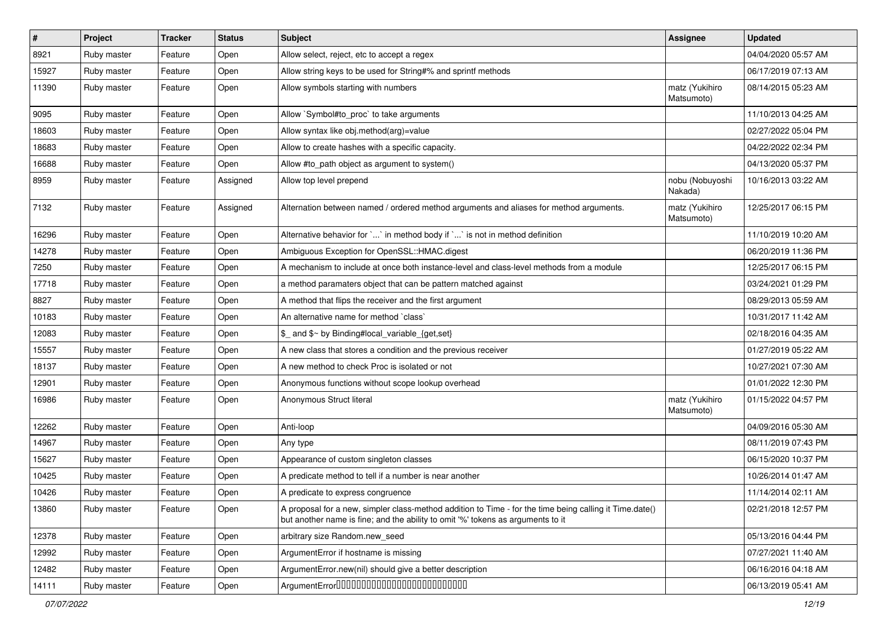| $\vert$ # | Project     | <b>Tracker</b> | <b>Status</b> | <b>Subject</b>                                                                                                                                                                             | <b>Assignee</b>              | <b>Updated</b>      |
|-----------|-------------|----------------|---------------|--------------------------------------------------------------------------------------------------------------------------------------------------------------------------------------------|------------------------------|---------------------|
| 8921      | Ruby master | Feature        | Open          | Allow select, reject, etc to accept a regex                                                                                                                                                |                              | 04/04/2020 05:57 AM |
| 15927     | Ruby master | Feature        | Open          | Allow string keys to be used for String#% and sprintf methods                                                                                                                              |                              | 06/17/2019 07:13 AM |
| 11390     | Ruby master | Feature        | Open          | Allow symbols starting with numbers                                                                                                                                                        | matz (Yukihiro<br>Matsumoto) | 08/14/2015 05:23 AM |
| 9095      | Ruby master | Feature        | Open          | Allow `Symbol#to_proc` to take arguments                                                                                                                                                   |                              | 11/10/2013 04:25 AM |
| 18603     | Ruby master | Feature        | Open          | Allow syntax like obj.method(arg)=value                                                                                                                                                    |                              | 02/27/2022 05:04 PM |
| 18683     | Ruby master | Feature        | Open          | Allow to create hashes with a specific capacity.                                                                                                                                           |                              | 04/22/2022 02:34 PM |
| 16688     | Ruby master | Feature        | Open          | Allow #to_path object as argument to system()                                                                                                                                              |                              | 04/13/2020 05:37 PM |
| 8959      | Ruby master | Feature        | Assigned      | Allow top level prepend                                                                                                                                                                    | nobu (Nobuyoshi<br>Nakada)   | 10/16/2013 03:22 AM |
| 7132      | Ruby master | Feature        | Assigned      | Alternation between named / ordered method arguments and aliases for method arguments.                                                                                                     | matz (Yukihiro<br>Matsumoto) | 12/25/2017 06:15 PM |
| 16296     | Ruby master | Feature        | Open          | Alternative behavior for ` ` in method body if ` ` is not in method definition                                                                                                             |                              | 11/10/2019 10:20 AM |
| 14278     | Ruby master | Feature        | Open          | Ambiguous Exception for OpenSSL::HMAC.digest                                                                                                                                               |                              | 06/20/2019 11:36 PM |
| 7250      | Ruby master | Feature        | Open          | A mechanism to include at once both instance-level and class-level methods from a module                                                                                                   |                              | 12/25/2017 06:15 PM |
| 17718     | Ruby master | Feature        | Open          | a method paramaters object that can be pattern matched against                                                                                                                             |                              | 03/24/2021 01:29 PM |
| 8827      | Ruby master | Feature        | Open          | A method that flips the receiver and the first argument                                                                                                                                    |                              | 08/29/2013 05:59 AM |
| 10183     | Ruby master | Feature        | Open          | An alternative name for method `class`                                                                                                                                                     |                              | 10/31/2017 11:42 AM |
| 12083     | Ruby master | Feature        | Open          | \$ and \$~ by Binding#local variable {get,set}                                                                                                                                             |                              | 02/18/2016 04:35 AM |
| 15557     | Ruby master | Feature        | Open          | A new class that stores a condition and the previous receiver                                                                                                                              |                              | 01/27/2019 05:22 AM |
| 18137     | Ruby master | Feature        | Open          | A new method to check Proc is isolated or not                                                                                                                                              |                              | 10/27/2021 07:30 AM |
| 12901     | Ruby master | Feature        | Open          | Anonymous functions without scope lookup overhead                                                                                                                                          |                              | 01/01/2022 12:30 PM |
| 16986     | Ruby master | Feature        | Open          | Anonymous Struct literal                                                                                                                                                                   | matz (Yukihiro<br>Matsumoto) | 01/15/2022 04:57 PM |
| 12262     | Ruby master | Feature        | Open          | Anti-loop                                                                                                                                                                                  |                              | 04/09/2016 05:30 AM |
| 14967     | Ruby master | Feature        | Open          | Any type                                                                                                                                                                                   |                              | 08/11/2019 07:43 PM |
| 15627     | Ruby master | Feature        | Open          | Appearance of custom singleton classes                                                                                                                                                     |                              | 06/15/2020 10:37 PM |
| 10425     | Ruby master | Feature        | Open          | A predicate method to tell if a number is near another                                                                                                                                     |                              | 10/26/2014 01:47 AM |
| 10426     | Ruby master | Feature        | Open          | A predicate to express congruence                                                                                                                                                          |                              | 11/14/2014 02:11 AM |
| 13860     | Ruby master | Feature        | Open          | A proposal for a new, simpler class-method addition to Time - for the time being calling it Time.date()<br>but another name is fine; and the ability to omit '%' tokens as arguments to it |                              | 02/21/2018 12:57 PM |
| 12378     | Ruby master | Feature        | Open          | arbitrary size Random.new seed                                                                                                                                                             |                              | 05/13/2016 04:44 PM |
| 12992     | Ruby master | Feature        | Open          | ArgumentError if hostname is missing                                                                                                                                                       |                              | 07/27/2021 11:40 AM |
| 12482     | Ruby master | Feature        | Open          | ArgumentError.new(nil) should give a better description                                                                                                                                    |                              | 06/16/2016 04:18 AM |
| 14111     | Ruby master | Feature        | Open          | ArgumentError00000000000000000000000000                                                                                                                                                    |                              | 06/13/2019 05:41 AM |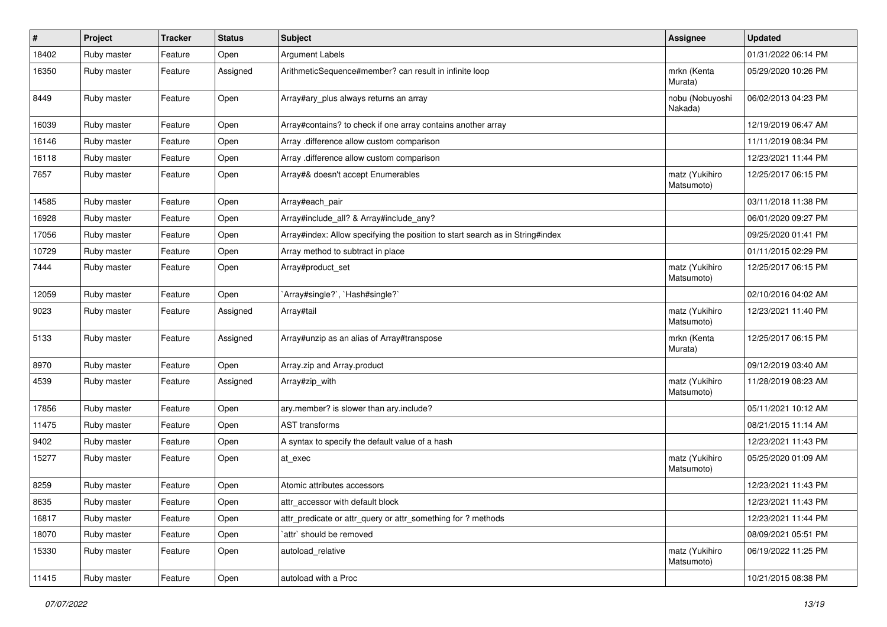| $\vert$ # | Project     | <b>Tracker</b> | <b>Status</b> | <b>Subject</b>                                                                | <b>Assignee</b>              | <b>Updated</b>      |
|-----------|-------------|----------------|---------------|-------------------------------------------------------------------------------|------------------------------|---------------------|
| 18402     | Ruby master | Feature        | Open          | <b>Argument Labels</b>                                                        |                              | 01/31/2022 06:14 PM |
| 16350     | Ruby master | Feature        | Assigned      | ArithmeticSequence#member? can result in infinite loop                        | mrkn (Kenta<br>Murata)       | 05/29/2020 10:26 PM |
| 8449      | Ruby master | Feature        | Open          | Array#ary_plus always returns an array                                        | nobu (Nobuyoshi<br>Nakada)   | 06/02/2013 04:23 PM |
| 16039     | Ruby master | Feature        | Open          | Array#contains? to check if one array contains another array                  |                              | 12/19/2019 06:47 AM |
| 16146     | Ruby master | Feature        | Open          | Array .difference allow custom comparison                                     |                              | 11/11/2019 08:34 PM |
| 16118     | Ruby master | Feature        | Open          | Array .difference allow custom comparison                                     |                              | 12/23/2021 11:44 PM |
| 7657      | Ruby master | Feature        | Open          | Array#& doesn't accept Enumerables                                            | matz (Yukihiro<br>Matsumoto) | 12/25/2017 06:15 PM |
| 14585     | Ruby master | Feature        | Open          | Array#each_pair                                                               |                              | 03/11/2018 11:38 PM |
| 16928     | Ruby master | Feature        | Open          | Array#include_all? & Array#include_any?                                       |                              | 06/01/2020 09:27 PM |
| 17056     | Ruby master | Feature        | Open          | Array#index: Allow specifying the position to start search as in String#index |                              | 09/25/2020 01:41 PM |
| 10729     | Ruby master | Feature        | Open          | Array method to subtract in place                                             |                              | 01/11/2015 02:29 PM |
| 7444      | Ruby master | Feature        | Open          | Array#product_set                                                             | matz (Yukihiro<br>Matsumoto) | 12/25/2017 06:15 PM |
| 12059     | Ruby master | Feature        | Open          | `Array#single?`, `Hash#single?`                                               |                              | 02/10/2016 04:02 AM |
| 9023      | Ruby master | Feature        | Assigned      | Array#tail                                                                    | matz (Yukihiro<br>Matsumoto) | 12/23/2021 11:40 PM |
| 5133      | Ruby master | Feature        | Assigned      | Array#unzip as an alias of Array#transpose                                    | mrkn (Kenta<br>Murata)       | 12/25/2017 06:15 PM |
| 8970      | Ruby master | Feature        | Open          | Array.zip and Array.product                                                   |                              | 09/12/2019 03:40 AM |
| 4539      | Ruby master | Feature        | Assigned      | Array#zip_with                                                                | matz (Yukihiro<br>Matsumoto) | 11/28/2019 08:23 AM |
| 17856     | Ruby master | Feature        | Open          | ary.member? is slower than ary.include?                                       |                              | 05/11/2021 10:12 AM |
| 11475     | Ruby master | Feature        | Open          | <b>AST transforms</b>                                                         |                              | 08/21/2015 11:14 AM |
| 9402      | Ruby master | Feature        | Open          | A syntax to specify the default value of a hash                               |                              | 12/23/2021 11:43 PM |
| 15277     | Ruby master | Feature        | Open          | at exec                                                                       | matz (Yukihiro<br>Matsumoto) | 05/25/2020 01:09 AM |
| 8259      | Ruby master | Feature        | Open          | Atomic attributes accessors                                                   |                              | 12/23/2021 11:43 PM |
| 8635      | Ruby master | Feature        | Open          | attr_accessor with default block                                              |                              | 12/23/2021 11:43 PM |
| 16817     | Ruby master | Feature        | Open          | attr predicate or attr query or attr something for? methods                   |                              | 12/23/2021 11:44 PM |
| 18070     | Ruby master | Feature        | Open          | `attr` should be removed                                                      |                              | 08/09/2021 05:51 PM |
| 15330     | Ruby master | Feature        | Open          | autoload relative                                                             | matz (Yukihiro<br>Matsumoto) | 06/19/2022 11:25 PM |
| 11415     | Ruby master | Feature        | Open          | autoload with a Proc                                                          |                              | 10/21/2015 08:38 PM |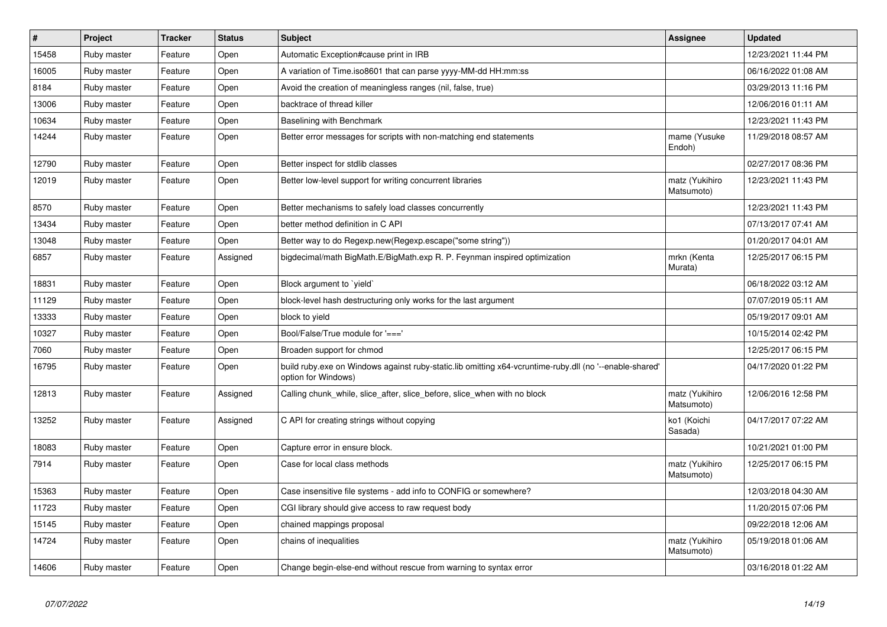| $\vert$ # | Project     | <b>Tracker</b> | <b>Status</b> | <b>Subject</b>                                                                                                                 | Assignee                     | <b>Updated</b>      |
|-----------|-------------|----------------|---------------|--------------------------------------------------------------------------------------------------------------------------------|------------------------------|---------------------|
| 15458     | Ruby master | Feature        | Open          | Automatic Exception#cause print in IRB                                                                                         |                              | 12/23/2021 11:44 PM |
| 16005     | Ruby master | Feature        | Open          | A variation of Time.iso8601 that can parse yyyy-MM-dd HH:mm:ss                                                                 |                              | 06/16/2022 01:08 AM |
| 8184      | Ruby master | Feature        | Open          | Avoid the creation of meaningless ranges (nil, false, true)                                                                    |                              | 03/29/2013 11:16 PM |
| 13006     | Ruby master | Feature        | Open          | backtrace of thread killer                                                                                                     |                              | 12/06/2016 01:11 AM |
| 10634     | Ruby master | Feature        | Open          | Baselining with Benchmark                                                                                                      |                              | 12/23/2021 11:43 PM |
| 14244     | Ruby master | Feature        | Open          | Better error messages for scripts with non-matching end statements                                                             | mame (Yusuke<br>Endoh)       | 11/29/2018 08:57 AM |
| 12790     | Ruby master | Feature        | Open          | Better inspect for stdlib classes                                                                                              |                              | 02/27/2017 08:36 PM |
| 12019     | Ruby master | Feature        | Open          | Better low-level support for writing concurrent libraries                                                                      | matz (Yukihiro<br>Matsumoto) | 12/23/2021 11:43 PM |
| 8570      | Ruby master | Feature        | Open          | Better mechanisms to safely load classes concurrently                                                                          |                              | 12/23/2021 11:43 PM |
| 13434     | Ruby master | Feature        | Open          | better method definition in C API                                                                                              |                              | 07/13/2017 07:41 AM |
| 13048     | Ruby master | Feature        | Open          | Better way to do Regexp.new(Regexp.escape("some string"))                                                                      |                              | 01/20/2017 04:01 AM |
| 6857      | Ruby master | Feature        | Assigned      | bigdecimal/math BigMath.E/BigMath.exp R. P. Feynman inspired optimization                                                      | mrkn (Kenta<br>Murata)       | 12/25/2017 06:15 PM |
| 18831     | Ruby master | Feature        | Open          | Block argument to `yield`                                                                                                      |                              | 06/18/2022 03:12 AM |
| 11129     | Ruby master | Feature        | Open          | block-level hash destructuring only works for the last argument                                                                |                              | 07/07/2019 05:11 AM |
| 13333     | Ruby master | Feature        | Open          | block to yield                                                                                                                 |                              | 05/19/2017 09:01 AM |
| 10327     | Ruby master | Feature        | Open          | Bool/False/True module for '==='                                                                                               |                              | 10/15/2014 02:42 PM |
| 7060      | Ruby master | Feature        | Open          | Broaden support for chmod                                                                                                      |                              | 12/25/2017 06:15 PM |
| 16795     | Ruby master | Feature        | Open          | build ruby exe on Windows against ruby-static.lib omitting x64-vcruntime-ruby dll (no '--enable-shared'<br>option for Windows) |                              | 04/17/2020 01:22 PM |
| 12813     | Ruby master | Feature        | Assigned      | Calling chunk_while, slice_after, slice_before, slice_when with no block                                                       | matz (Yukihiro<br>Matsumoto) | 12/06/2016 12:58 PM |
| 13252     | Ruby master | Feature        | Assigned      | C API for creating strings without copying                                                                                     | ko1 (Koichi<br>Sasada)       | 04/17/2017 07:22 AM |
| 18083     | Ruby master | Feature        | Open          | Capture error in ensure block.                                                                                                 |                              | 10/21/2021 01:00 PM |
| 7914      | Ruby master | Feature        | Open          | Case for local class methods                                                                                                   | matz (Yukihiro<br>Matsumoto) | 12/25/2017 06:15 PM |
| 15363     | Ruby master | Feature        | Open          | Case insensitive file systems - add info to CONFIG or somewhere?                                                               |                              | 12/03/2018 04:30 AM |
| 11723     | Ruby master | Feature        | Open          | CGI library should give access to raw request body                                                                             |                              | 11/20/2015 07:06 PM |
| 15145     | Ruby master | Feature        | Open          | chained mappings proposal                                                                                                      |                              | 09/22/2018 12:06 AM |
| 14724     | Ruby master | Feature        | Open          | chains of inequalities                                                                                                         | matz (Yukihiro<br>Matsumoto) | 05/19/2018 01:06 AM |
| 14606     | Ruby master | Feature        | Open          | Change begin-else-end without rescue from warning to syntax error                                                              |                              | 03/16/2018 01:22 AM |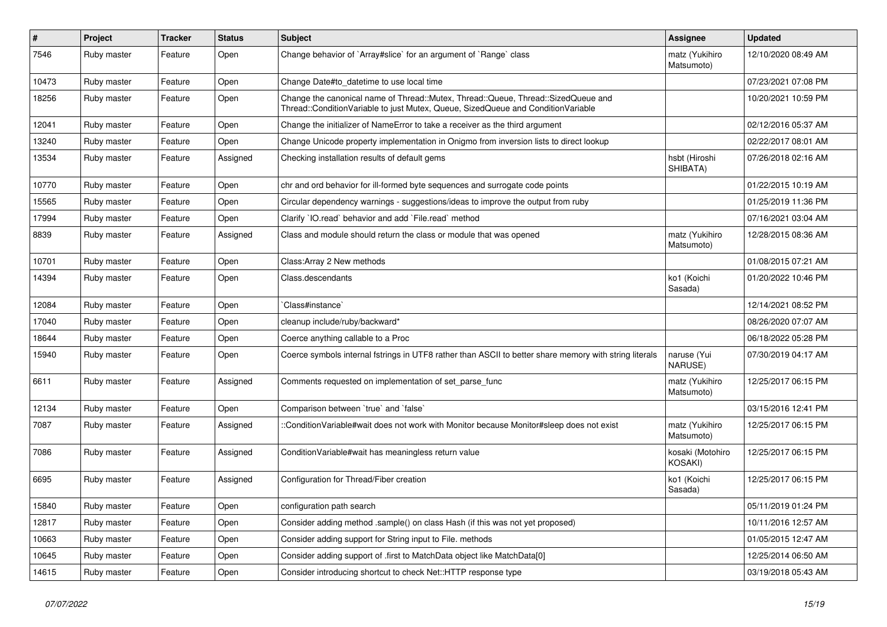| $\#$  | Project     | <b>Tracker</b> | <b>Status</b> | Subject                                                                                                                                                               | Assignee                      | <b>Updated</b>      |
|-------|-------------|----------------|---------------|-----------------------------------------------------------------------------------------------------------------------------------------------------------------------|-------------------------------|---------------------|
| 7546  | Ruby master | Feature        | Open          | Change behavior of `Array#slice` for an argument of `Range` class                                                                                                     | matz (Yukihiro<br>Matsumoto)  | 12/10/2020 08:49 AM |
| 10473 | Ruby master | Feature        | Open          | Change Date#to datetime to use local time                                                                                                                             |                               | 07/23/2021 07:08 PM |
| 18256 | Ruby master | Feature        | Open          | Change the canonical name of Thread::Mutex, Thread::Queue, Thread::SizedQueue and<br>Thread::ConditionVariable to just Mutex, Queue, SizedQueue and ConditionVariable |                               | 10/20/2021 10:59 PM |
| 12041 | Ruby master | Feature        | Open          | Change the initializer of NameError to take a receiver as the third argument                                                                                          |                               | 02/12/2016 05:37 AM |
| 13240 | Ruby master | Feature        | Open          | Change Unicode property implementation in Onigmo from inversion lists to direct lookup                                                                                |                               | 02/22/2017 08:01 AM |
| 13534 | Ruby master | Feature        | Assigned      | Checking installation results of default gems                                                                                                                         | hsbt (Hiroshi<br>SHIBATA)     | 07/26/2018 02:16 AM |
| 10770 | Ruby master | Feature        | Open          | chr and ord behavior for ill-formed byte sequences and surrogate code points                                                                                          |                               | 01/22/2015 10:19 AM |
| 15565 | Ruby master | Feature        | Open          | Circular dependency warnings - suggestions/ideas to improve the output from ruby                                                                                      |                               | 01/25/2019 11:36 PM |
| 17994 | Ruby master | Feature        | Open          | Clarify 'IO.read' behavior and add 'File.read' method                                                                                                                 |                               | 07/16/2021 03:04 AM |
| 8839  | Ruby master | Feature        | Assigned      | Class and module should return the class or module that was opened                                                                                                    | matz (Yukihiro<br>Matsumoto)  | 12/28/2015 08:36 AM |
| 10701 | Ruby master | Feature        | Open          | Class: Array 2 New methods                                                                                                                                            |                               | 01/08/2015 07:21 AM |
| 14394 | Ruby master | Feature        | Open          | Class.descendants                                                                                                                                                     | ko1 (Koichi<br>Sasada)        | 01/20/2022 10:46 PM |
| 12084 | Ruby master | Feature        | Open          | Class#instance`                                                                                                                                                       |                               | 12/14/2021 08:52 PM |
| 17040 | Ruby master | Feature        | Open          | cleanup include/ruby/backward*                                                                                                                                        |                               | 08/26/2020 07:07 AM |
| 18644 | Ruby master | Feature        | Open          | Coerce anything callable to a Proc                                                                                                                                    |                               | 06/18/2022 05:28 PM |
| 15940 | Ruby master | Feature        | Open          | Coerce symbols internal fstrings in UTF8 rather than ASCII to better share memory with string literals                                                                | naruse (Yui<br><b>NARUSE)</b> | 07/30/2019 04:17 AM |
| 6611  | Ruby master | Feature        | Assigned      | Comments requested on implementation of set_parse_func                                                                                                                | matz (Yukihiro<br>Matsumoto)  | 12/25/2017 06:15 PM |
| 12134 | Ruby master | Feature        | Open          | Comparison between 'true' and 'false'                                                                                                                                 |                               | 03/15/2016 12:41 PM |
| 7087  | Ruby master | Feature        | Assigned      | ::ConditionVariable#wait does not work with Monitor because Monitor#sleep does not exist                                                                              | matz (Yukihiro<br>Matsumoto)  | 12/25/2017 06:15 PM |
| 7086  | Ruby master | Feature        | Assigned      | ConditionVariable#wait has meaningless return value                                                                                                                   | kosaki (Motohiro<br>KOSAKI)   | 12/25/2017 06:15 PM |
| 6695  | Ruby master | Feature        | Assigned      | Configuration for Thread/Fiber creation                                                                                                                               | ko1 (Koichi<br>Sasada)        | 12/25/2017 06:15 PM |
| 15840 | Ruby master | Feature        | Open          | configuration path search                                                                                                                                             |                               | 05/11/2019 01:24 PM |
| 12817 | Ruby master | Feature        | Open          | Consider adding method .sample() on class Hash (if this was not yet proposed)                                                                                         |                               | 10/11/2016 12:57 AM |
| 10663 | Ruby master | Feature        | Open          | Consider adding support for String input to File. methods                                                                                                             |                               | 01/05/2015 12:47 AM |
| 10645 | Ruby master | Feature        | Open          | Consider adding support of .first to MatchData object like MatchData[0]                                                                                               |                               | 12/25/2014 06:50 AM |
| 14615 | Ruby master | Feature        | Open          | Consider introducing shortcut to check Net::HTTP response type                                                                                                        |                               | 03/19/2018 05:43 AM |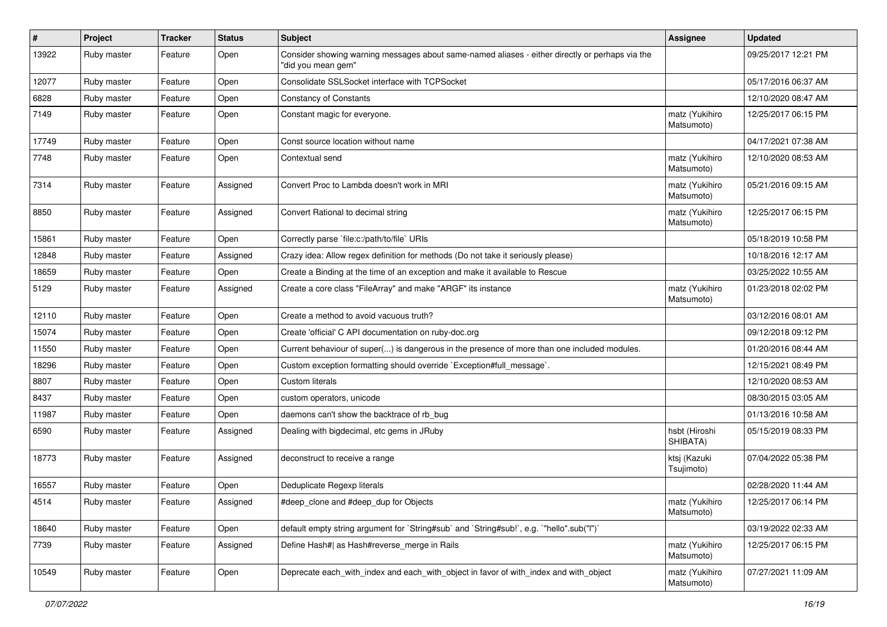| $\pmb{\#}$ | Project     | <b>Tracker</b> | <b>Status</b> | <b>Subject</b>                                                                                                        | <b>Assignee</b>              | <b>Updated</b>      |
|------------|-------------|----------------|---------------|-----------------------------------------------------------------------------------------------------------------------|------------------------------|---------------------|
| 13922      | Ruby master | Feature        | Open          | Consider showing warning messages about same-named aliases - either directly or perhaps via the<br>"did you mean gem" |                              | 09/25/2017 12:21 PM |
| 12077      | Ruby master | Feature        | Open          | Consolidate SSLSocket interface with TCPSocket                                                                        |                              | 05/17/2016 06:37 AM |
| 6828       | Ruby master | Feature        | Open          | <b>Constancy of Constants</b>                                                                                         |                              | 12/10/2020 08:47 AM |
| 7149       | Ruby master | Feature        | Open          | Constant magic for everyone.                                                                                          | matz (Yukihiro<br>Matsumoto) | 12/25/2017 06:15 PM |
| 17749      | Ruby master | Feature        | Open          | Const source location without name                                                                                    |                              | 04/17/2021 07:38 AM |
| 7748       | Ruby master | Feature        | Open          | Contextual send                                                                                                       | matz (Yukihiro<br>Matsumoto) | 12/10/2020 08:53 AM |
| 7314       | Ruby master | Feature        | Assigned      | Convert Proc to Lambda doesn't work in MRI                                                                            | matz (Yukihiro<br>Matsumoto) | 05/21/2016 09:15 AM |
| 8850       | Ruby master | Feature        | Assigned      | Convert Rational to decimal string                                                                                    | matz (Yukihiro<br>Matsumoto) | 12/25/2017 06:15 PM |
| 15861      | Ruby master | Feature        | Open          | Correctly parse `file:c:/path/to/file` URIs                                                                           |                              | 05/18/2019 10:58 PM |
| 12848      | Ruby master | Feature        | Assigned      | Crazy idea: Allow regex definition for methods (Do not take it seriously please)                                      |                              | 10/18/2016 12:17 AM |
| 18659      | Ruby master | Feature        | Open          | Create a Binding at the time of an exception and make it available to Rescue                                          |                              | 03/25/2022 10:55 AM |
| 5129       | Ruby master | Feature        | Assigned      | Create a core class "FileArray" and make "ARGF" its instance                                                          | matz (Yukihiro<br>Matsumoto) | 01/23/2018 02:02 PM |
| 12110      | Ruby master | Feature        | Open          | Create a method to avoid vacuous truth?                                                                               |                              | 03/12/2016 08:01 AM |
| 15074      | Ruby master | Feature        | Open          | Create 'official' C API documentation on ruby-doc.org                                                                 |                              | 09/12/2018 09:12 PM |
| 11550      | Ruby master | Feature        | Open          | Current behaviour of super() is dangerous in the presence of more than one included modules.                          |                              | 01/20/2016 08:44 AM |
| 18296      | Ruby master | Feature        | Open          | Custom exception formatting should override `Exception#full_message`.                                                 |                              | 12/15/2021 08:49 PM |
| 8807       | Ruby master | Feature        | Open          | Custom literals                                                                                                       |                              | 12/10/2020 08:53 AM |
| 8437       | Ruby master | Feature        | Open          | custom operators, unicode                                                                                             |                              | 08/30/2015 03:05 AM |
| 11987      | Ruby master | Feature        | Open          | daemons can't show the backtrace of rb bug                                                                            |                              | 01/13/2016 10:58 AM |
| 6590       | Ruby master | Feature        | Assigned      | Dealing with bigdecimal, etc gems in JRuby                                                                            | hsbt (Hiroshi<br>SHIBATA)    | 05/15/2019 08:33 PM |
| 18773      | Ruby master | Feature        | Assigned      | deconstruct to receive a range                                                                                        | ktsj (Kazuki<br>Tsujimoto)   | 07/04/2022 05:38 PM |
| 16557      | Ruby master | Feature        | Open          | Deduplicate Regexp literals                                                                                           |                              | 02/28/2020 11:44 AM |
| 4514       | Ruby master | Feature        | Assigned      | #deep_clone and #deep_dup for Objects                                                                                 | matz (Yukihiro<br>Matsumoto) | 12/25/2017 06:14 PM |
| 18640      | Ruby master | Feature        | Open          | default empty string argument for `String#sub` and `String#sub!`, e.g. `"hello".sub("I")`                             |                              | 03/19/2022 02:33 AM |
| 7739       | Ruby master | Feature        | Assigned      | Define Hash#  as Hash#reverse_merge in Rails                                                                          | matz (Yukihiro<br>Matsumoto) | 12/25/2017 06:15 PM |
| 10549      | Ruby master | Feature        | Open          | Deprecate each with index and each with object in favor of with index and with object                                 | matz (Yukihiro<br>Matsumoto) | 07/27/2021 11:09 AM |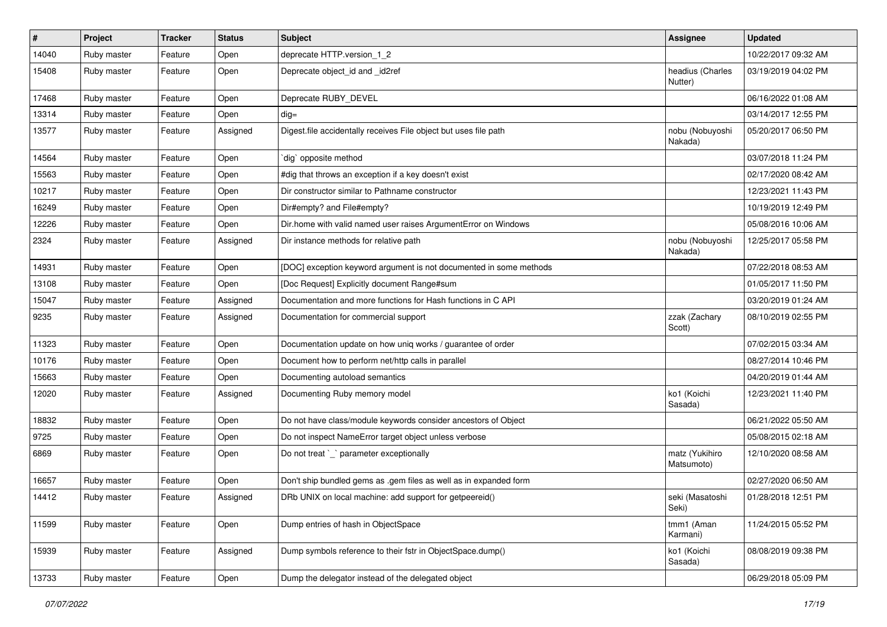| $\vert$ # | Project     | <b>Tracker</b> | <b>Status</b> | <b>Subject</b>                                                     | <b>Assignee</b>              | <b>Updated</b>      |
|-----------|-------------|----------------|---------------|--------------------------------------------------------------------|------------------------------|---------------------|
| 14040     | Ruby master | Feature        | Open          | deprecate HTTP.version_1_2                                         |                              | 10/22/2017 09:32 AM |
| 15408     | Ruby master | Feature        | Open          | Deprecate object_id and _id2ref                                    | headius (Charles<br>Nutter)  | 03/19/2019 04:02 PM |
| 17468     | Ruby master | Feature        | Open          | Deprecate RUBY DEVEL                                               |                              | 06/16/2022 01:08 AM |
| 13314     | Ruby master | Feature        | Open          | $dig =$                                                            |                              | 03/14/2017 12:55 PM |
| 13577     | Ruby master | Feature        | Assigned      | Digest file accidentally receives File object but uses file path   | nobu (Nobuyoshi<br>Nakada)   | 05/20/2017 06:50 PM |
| 14564     | Ruby master | Feature        | Open          | dig` opposite method                                               |                              | 03/07/2018 11:24 PM |
| 15563     | Ruby master | Feature        | Open          | #dig that throws an exception if a key doesn't exist               |                              | 02/17/2020 08:42 AM |
| 10217     | Ruby master | Feature        | Open          | Dir constructor similar to Pathname constructor                    |                              | 12/23/2021 11:43 PM |
| 16249     | Ruby master | Feature        | Open          | Dir#empty? and File#empty?                                         |                              | 10/19/2019 12:49 PM |
| 12226     | Ruby master | Feature        | Open          | Dir.home with valid named user raises ArgumentError on Windows     |                              | 05/08/2016 10:06 AM |
| 2324      | Ruby master | Feature        | Assigned      | Dir instance methods for relative path                             | nobu (Nobuyoshi<br>Nakada)   | 12/25/2017 05:58 PM |
| 14931     | Ruby master | Feature        | Open          | [DOC] exception keyword argument is not documented in some methods |                              | 07/22/2018 08:53 AM |
| 13108     | Ruby master | Feature        | Open          | [Doc Request] Explicitly document Range#sum                        |                              | 01/05/2017 11:50 PM |
| 15047     | Ruby master | Feature        | Assigned      | Documentation and more functions for Hash functions in C API       |                              | 03/20/2019 01:24 AM |
| 9235      | Ruby master | Feature        | Assigned      | Documentation for commercial support                               | zzak (Zachary<br>Scott)      | 08/10/2019 02:55 PM |
| 11323     | Ruby master | Feature        | Open          | Documentation update on how uniq works / guarantee of order        |                              | 07/02/2015 03:34 AM |
| 10176     | Ruby master | Feature        | Open          | Document how to perform net/http calls in parallel                 |                              | 08/27/2014 10:46 PM |
| 15663     | Ruby master | Feature        | Open          | Documenting autoload semantics                                     |                              | 04/20/2019 01:44 AM |
| 12020     | Ruby master | Feature        | Assigned      | Documenting Ruby memory model                                      | ko1 (Koichi<br>Sasada)       | 12/23/2021 11:40 PM |
| 18832     | Ruby master | Feature        | Open          | Do not have class/module keywords consider ancestors of Object     |                              | 06/21/2022 05:50 AM |
| 9725      | Ruby master | Feature        | Open          | Do not inspect NameError target object unless verbose              |                              | 05/08/2015 02:18 AM |
| 6869      | Ruby master | Feature        | Open          | Do not treat `_` parameter exceptionally                           | matz (Yukihiro<br>Matsumoto) | 12/10/2020 08:58 AM |
| 16657     | Ruby master | Feature        | Open          | Don't ship bundled gems as .gem files as well as in expanded form  |                              | 02/27/2020 06:50 AM |
| 14412     | Ruby master | Feature        | Assigned      | DRb UNIX on local machine: add support for getpeereid()            | seki (Masatoshi<br>Seki)     | 01/28/2018 12:51 PM |
| 11599     | Ruby master | Feature        | Open          | Dump entries of hash in ObjectSpace                                | tmm1 (Aman<br>Karmani)       | 11/24/2015 05:52 PM |
| 15939     | Ruby master | Feature        | Assigned      | Dump symbols reference to their fstr in ObjectSpace.dump()         | ko1 (Koichi<br>Sasada)       | 08/08/2019 09:38 PM |
| 13733     | Ruby master | Feature        | Open          | Dump the delegator instead of the delegated object                 |                              | 06/29/2018 05:09 PM |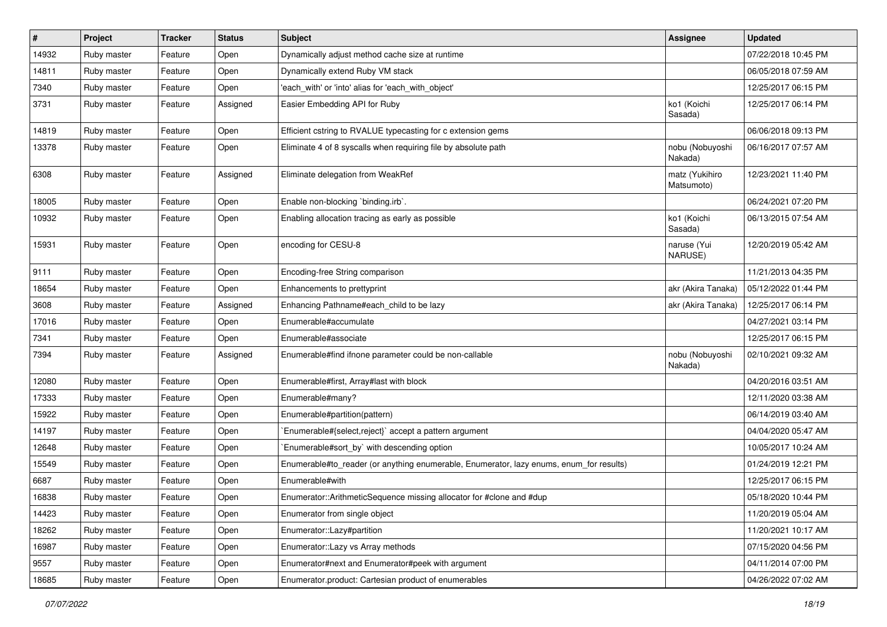| $\sharp$ | Project     | Tracker | <b>Status</b> | <b>Subject</b>                                                                          | Assignee                     | <b>Updated</b>      |
|----------|-------------|---------|---------------|-----------------------------------------------------------------------------------------|------------------------------|---------------------|
| 14932    | Ruby master | Feature | Open          | Dynamically adjust method cache size at runtime                                         |                              | 07/22/2018 10:45 PM |
| 14811    | Ruby master | Feature | Open          | Dynamically extend Ruby VM stack                                                        |                              | 06/05/2018 07:59 AM |
| 7340     | Ruby master | Feature | Open          | 'each with' or 'into' alias for 'each with object'                                      |                              | 12/25/2017 06:15 PM |
| 3731     | Ruby master | Feature | Assigned      | Easier Embedding API for Ruby                                                           | ko1 (Koichi<br>Sasada)       | 12/25/2017 06:14 PM |
| 14819    | Ruby master | Feature | Open          | Efficient cstring to RVALUE typecasting for c extension gems                            |                              | 06/06/2018 09:13 PM |
| 13378    | Ruby master | Feature | Open          | Eliminate 4 of 8 syscalls when requiring file by absolute path                          | nobu (Nobuyoshi<br>Nakada)   | 06/16/2017 07:57 AM |
| 6308     | Ruby master | Feature | Assigned      | Eliminate delegation from WeakRef                                                       | matz (Yukihiro<br>Matsumoto) | 12/23/2021 11:40 PM |
| 18005    | Ruby master | Feature | Open          | Enable non-blocking `binding.irb`.                                                      |                              | 06/24/2021 07:20 PM |
| 10932    | Ruby master | Feature | Open          | Enabling allocation tracing as early as possible                                        | ko1 (Koichi<br>Sasada)       | 06/13/2015 07:54 AM |
| 15931    | Ruby master | Feature | Open          | encoding for CESU-8                                                                     | naruse (Yui<br>NARUSE)       | 12/20/2019 05:42 AM |
| 9111     | Ruby master | Feature | Open          | Encoding-free String comparison                                                         |                              | 11/21/2013 04:35 PM |
| 18654    | Ruby master | Feature | Open          | Enhancements to prettyprint                                                             | akr (Akira Tanaka)           | 05/12/2022 01:44 PM |
| 3608     | Ruby master | Feature | Assigned      | Enhancing Pathname#each_child to be lazy                                                | akr (Akira Tanaka)           | 12/25/2017 06:14 PM |
| 17016    | Ruby master | Feature | Open          | Enumerable#accumulate                                                                   |                              | 04/27/2021 03:14 PM |
| 7341     | Ruby master | Feature | Open          | Enumerable#associate                                                                    |                              | 12/25/2017 06:15 PM |
| 7394     | Ruby master | Feature | Assigned      | Enumerable#find ifnone parameter could be non-callable                                  | nobu (Nobuyoshi<br>Nakada)   | 02/10/2021 09:32 AM |
| 12080    | Ruby master | Feature | Open          | Enumerable#first, Array#last with block                                                 |                              | 04/20/2016 03:51 AM |
| 17333    | Ruby master | Feature | Open          | Enumerable#many?                                                                        |                              | 12/11/2020 03:38 AM |
| 15922    | Ruby master | Feature | Open          | Enumerable#partition(pattern)                                                           |                              | 06/14/2019 03:40 AM |
| 14197    | Ruby master | Feature | Open          | Enumerable#{select,reject}` accept a pattern argument                                   |                              | 04/04/2020 05:47 AM |
| 12648    | Ruby master | Feature | Open          | Enumerable#sort_by` with descending option                                              |                              | 10/05/2017 10:24 AM |
| 15549    | Ruby master | Feature | Open          | Enumerable#to_reader (or anything enumerable, Enumerator, lazy enums, enum_for results) |                              | 01/24/2019 12:21 PM |
| 6687     | Ruby master | Feature | Open          | Enumerable#with                                                                         |                              | 12/25/2017 06:15 PM |
| 16838    | Ruby master | Feature | Open          | Enumerator::ArithmeticSequence missing allocator for #clone and #dup                    |                              | 05/18/2020 10:44 PM |
| 14423    | Ruby master | Feature | Open          | Enumerator from single object                                                           |                              | 11/20/2019 05:04 AM |
| 18262    | Ruby master | Feature | Open          | Enumerator::Lazy#partition                                                              |                              | 11/20/2021 10:17 AM |
| 16987    | Ruby master | Feature | Open          | Enumerator::Lazy vs Array methods                                                       |                              | 07/15/2020 04:56 PM |
| 9557     | Ruby master | Feature | Open          | Enumerator#next and Enumerator#peek with argument                                       |                              | 04/11/2014 07:00 PM |
| 18685    | Ruby master | Feature | Open          | Enumerator.product: Cartesian product of enumerables                                    |                              | 04/26/2022 07:02 AM |